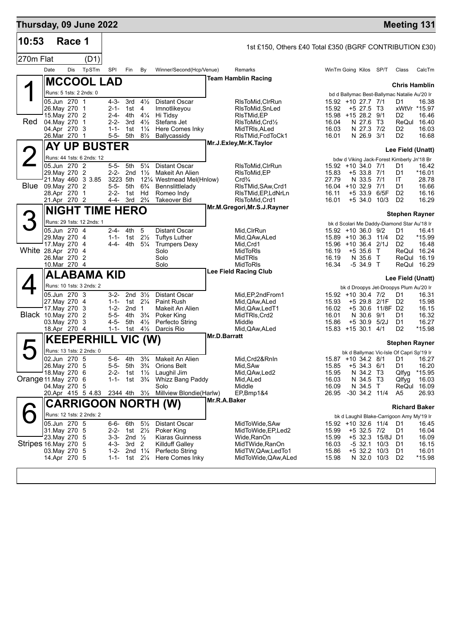| Thursday, 09 June 2022   |                               |        |                           |                        |                                          |                                  |                                                              |              |                                                         |                |                                                                     |             |                                  | <b>Meeting 131</b>         |
|--------------------------|-------------------------------|--------|---------------------------|------------------------|------------------------------------------|----------------------------------|--------------------------------------------------------------|--------------|---------------------------------------------------------|----------------|---------------------------------------------------------------------|-------------|----------------------------------|----------------------------|
| 10:53                    |                               | Race 1 |                           |                        |                                          |                                  |                                                              |              | 1st £150, Others £40 Total £350 (BGRF CONTRIBUTION £30) |                |                                                                     |             |                                  |                            |
| 270m Flat                |                               |        | (D1)                      |                        |                                          |                                  |                                                              |              |                                                         |                |                                                                     |             |                                  |                            |
|                          | Date                          | Dis    | TpSTm                     | SPI                    | Fin                                      | By                               | Winner/Second(Hcp/Venue)                                     |              | Remarks                                                 |                | WinTm Going Kilos SP/T                                              |             | Class                            | CalcTm                     |
|                          |                               |        | <b>MCCOOL LAD</b>         |                        |                                          |                                  |                                                              |              | <b>Team Hamblin Racing</b>                              |                |                                                                     |             |                                  |                            |
|                          | Runs: 5 1sts: 2 2nds: 0       |        |                           |                        |                                          |                                  |                                                              |              |                                                         |                |                                                                     |             | <b>Chris Hamblin</b>             |                            |
|                          | 05.Jun 270 1                  |        |                           | 4-3-                   | 3rd                                      | $4\frac{1}{2}$                   | <b>Distant Oscar</b>                                         |              | RIsToMid, CIrRun                                        |                | bd d Ballymac Best-Ballymac Natalie Au'20 Ir<br>15.92 +10 27.7 7/1  |             | D1                               | 16.38                      |
|                          | 26. May 270 1                 |        |                           | $2 - 1 -$              | 1st                                      | 4                                | Imnotlikeyou                                                 |              | RIsToMid, SnLed                                         | 15.92          | $+5$ 27.5 T3                                                        |             |                                  | xWtVr *15.97               |
| Red                      | 15. May 270 2<br>04. May 270  |        | $\mathbf{1}$              | 2-4-<br>$2 - 2 -$      | 4th<br>3rd                               | $4\frac{1}{4}$<br>$4\frac{1}{2}$ | Hi Tidsy<br>Stefans Jet                                      |              | RIsTMid, EP<br>RIsToMid, Crd1/2                         | 16.04          | 15.98 +15 28.2 9/1<br>N 27.6 T3                                     |             | D <sub>2</sub>                   | 16.46<br>ReQul 16.40       |
|                          | 04.Apr 270 3                  |        |                           | $1 - 1 -$              | 1st                                      | $1\frac{1}{4}$                   | Here Comes Inky                                              |              | MidTRIs, ALed                                           | 16.03          | N 27.3 7/2                                                          |             | D <sub>2</sub>                   | 16.03                      |
|                          | 26.Mar 270                    |        | $\mathbf{1}$              | $5 - 5 -$              | 5th                                      | $8\frac{1}{2}$                   | Ballycassidy                                                 |              | RIsTMid, FcdToCk1                                       | 16.01          | N 26.9 3/1                                                          |             | D <sub>2</sub>                   | 16.68                      |
|                          |                               |        | <b>AY UP BUSTER</b>       |                        |                                          |                                  |                                                              |              | Mr.J.Exley, Mr.K.Taylor                                 |                |                                                                     |             | Lee Field (Unatt)                |                            |
|                          |                               |        | Runs: 44 1sts: 6 2nds: 12 |                        |                                          |                                  |                                                              |              |                                                         |                | bdw d Viking Jack-Forest Kimberly Jn'18 Br                          |             |                                  |                            |
|                          | 05.Jun 270 2                  |        |                           | 5-5-                   | 5th                                      | $5\frac{1}{4}$                   | <b>Distant Oscar</b>                                         |              | RIsToMid, CIrRun                                        |                | 15.92 +10 34.0 7/1                                                  |             | D1                               | 16.42                      |
|                          | 29. May 270 2                 |        | 21. May 460 3 3.85        | $2 - 2 -$<br>3223 5th  |                                          | 2nd $1\frac{1}{2}$               | Makeit An Alien<br>121/4 Westmead Mel(Hnlow)                 |              | RIsToMid, EP<br>Crd <sub>4</sub>                        | 15.83<br>27.79 | $+5$ 33.8 7/1<br>N 33.5 7/1                                         |             | D1<br>IT                         | *16.01<br>28.78            |
| Blue 09. May 270 2       |                               |        |                           | $5 - 5 -$              | 5th                                      | $6\frac{3}{4}$                   | Bennslittlelady                                              |              | RIsTMid, SAw, Crd1                                      |                | 16.04 +10 32.9 7/1                                                  |             | D1                               | 16.66                      |
|                          | 28.Apr 270 1<br>21.Apr 270 2  |        |                           | $2 - 2 -$<br>4-4-      | 1st Hd<br>3rd $2\frac{3}{4}$             |                                  | Romeo Indy<br><b>Takeover Bid</b>                            |              | RIsTMid, EP, LdNrLn<br>RIsToMid, Crd1                   | 16.11<br>16.01 | +5 33.9 6/5F<br>$+5$ 34.0 10/3                                      |             | D <sub>2</sub><br>D <sub>2</sub> | 16.16<br>16.29             |
|                          |                               |        | <b>NIGHT TIME HERO</b>    |                        |                                          |                                  |                                                              |              | Mr.M.Gregori, Mr.S.J.Rayner                             |                |                                                                     |             |                                  |                            |
|                          |                               |        |                           |                        |                                          |                                  |                                                              |              |                                                         |                |                                                                     |             | <b>Stephen Rayner</b>            |                            |
|                          | 05.Jun 270 4                  |        | Runs: 29 1sts: 12 2nds: 1 |                        | 2-4- 4th                                 | 5                                | <b>Distant Oscar</b>                                         |              |                                                         |                | bk d Scolari Me Daddy-Diamond Star Au'18 Ir                         |             |                                  |                            |
|                          | 29. May 270 4                 |        |                           |                        | 1-1- 1st $2\frac{1}{2}$                  |                                  | <b>Tuftys Luther</b>                                         |              | Mid, CIrRun<br>Mid, QAw, ALed                           |                | 15.92 +10 36.0 9/2<br>15.89 +10 36.3 11/4                           |             | D1<br>D <sub>2</sub>             | 16.41<br>*15.99            |
|                          | 17. May 270 4                 |        |                           |                        | 4-4- 4th                                 | $5\frac{1}{4}$                   | <b>Trumpers Dexy</b>                                         |              | Mid, Crd1                                               |                | 15.96 +10 36.4 2/1J                                                 |             | D <sub>2</sub>                   | 16.48                      |
| White 28.Apr 270 4       | 26.Mar 270 2                  |        |                           |                        |                                          |                                  | Solo<br>Solo                                                 |              | MidToRIs<br><b>MidTRIS</b>                              | 16.19<br>16.19 | $+535.6$ T<br>N 35.6 T                                              |             |                                  | ReQul 16.24<br>ReQul 16.19 |
|                          | 10.Mar 270 4                  |        |                           |                        |                                          |                                  | Solo                                                         |              | MidToRIs                                                | 16.34          | $-534.9$ T                                                          |             |                                  | ReQul 16.29                |
|                          |                               |        | ALABAMA KID               |                        |                                          |                                  |                                                              |              | <b>Lee Field Racing Club</b>                            |                |                                                                     |             | Lee Field (Unatt)                |                            |
|                          |                               |        | Runs: 10 1sts: 3 2nds: 2  |                        |                                          |                                  |                                                              |              |                                                         |                | bk d Droopys Jet-Droopys Plum Au'20 Ir                              |             |                                  |                            |
|                          | 05.Jun 270 3                  |        |                           | 3-2-                   |                                          | 2nd $3\frac{1}{2}$               | <b>Distant Oscar</b>                                         |              | Mid, EP, 2nd From 1                                     |                | 15.92 +10 30.4 7/2                                                  |             | D1                               | 16.31                      |
|                          | 27. May 270 4                 |        |                           |                        | 1-1- 1st $2\frac{1}{4}$                  |                                  | <b>Paint Rush</b>                                            |              | Mid,QAw,ALed                                            | 15.93          | +5 29.8 2/1F D2                                                     |             |                                  | 15.98                      |
| <b>Black</b> 10. May 270 | 17. May 270                   |        | -3<br>2                   | $1 - 2 -$<br>$5 - 5 -$ | 2nd <sub>1</sub><br>4th                  | $3\frac{3}{4}$                   | Makeit An Alien<br>Poker King                                |              | Mid, QAw, LedT1<br>MidTRIs, Crd2                        | 16.02<br>16.01 | +5 30.6 11/8F D2<br>N 30.6 9/1                                      |             | D1                               | 16.15<br>16.32             |
|                          | 03. May 270 3                 |        |                           | 4-5-                   | 5th                                      | $4\frac{1}{2}$                   | Perfecto String                                              |              | Middle                                                  | 15.86          | +5 30.9 5/2J                                                        |             | D1                               | 16.27                      |
|                          | 18.Apr 270 4                  |        |                           | $1 - 1 -$              | 1st $4\frac{1}{2}$                       |                                  | Darcis Rio                                                   | Mr.D.Barratt | Mid, QAw, ALed                                          |                | 15.83 +15 30.1 4/1                                                  |             | D <sub>2</sub>                   | *15.98                     |
|                          |                               |        | <b>KEEPERHILL VIC (W)</b> |                        |                                          |                                  |                                                              |              |                                                         |                |                                                                     |             |                                  | <b>Stephen Rayner</b>      |
|                          |                               |        | Runs: 13 1sts: 2 2nds: 0  |                        |                                          |                                  |                                                              |              |                                                         |                | bk d Ballymac Vic-Isle Of Capri Sp'19 Ir                            |             |                                  |                            |
|                          | 02.Jun 270 5<br>26. May 270 5 |        |                           | $5 - 6 -$<br>5-5-      | 4th<br>5th 3 <sup>3</sup> / <sub>4</sub> |                                  | 3 <sup>3</sup> / <sub>4</sub> Makeit An Alien<br>Orions Belt |              | Mid, Crd2&RnIn<br>Mid, SAw                              | 15.85          | 15.87 +10 34.2 8/1 D1 16.27<br>$+5$ 34.3 6/1                        |             | D1                               | 16.20                      |
|                          | 18. May 270 6                 |        |                           |                        | 2-2- 1st $1\frac{1}{2}$                  |                                  | Laughil Jim                                                  |              | Mid, QAw, Led 2                                         | 15.95          | N 34.2 T3                                                           |             | Qlfyg                            | *15.95                     |
| Orange 11. May 270 6     |                               |        |                           |                        |                                          |                                  | 1-1- 1st 3 <sup>3</sup> / <sub>4</sub> Whizz Bang Paddy      |              | Mid,ALed                                                | 16.03          | N 34.5 T3                                                           |             | Qlfyg                            | 16.03                      |
|                          | 04. May 270 5                 |        | 20.Apr 415 5 4.83         |                        |                                          |                                  | Solo<br>2344 4th 31/ <sub>2</sub> Millview Blondie(Harlw)    |              | Middle<br>EP,Bmp1&4                                     | 16.09<br>26.95 | N 34.5 T<br>$-30$ 34.2 11/4                                         |             | A5                               | ReQui 16.09<br>26.93       |
|                          |                               |        |                           |                        |                                          |                                  | <b>CARRIGOON NORTH (W)</b>                                   | Mr.R.A.Baker |                                                         |                |                                                                     |             |                                  |                            |
|                          |                               |        | Runs: 12 1sts: 2 2nds: 2  |                        |                                          |                                  |                                                              |              |                                                         |                |                                                                     |             |                                  | <b>Richard Baker</b>       |
|                          | 05.Jun 270 5                  |        |                           |                        | 6-6- 6th                                 | $5\frac{1}{2}$                   | Distant Oscar                                                |              | MidToWide,SAw                                           |                | bk d Laughil Blake-Carrigoon Amy My'19 Ir<br>15.92 +10 32.6 11/4 D1 |             |                                  | 16.45                      |
|                          | 31. May 270 5                 |        |                           |                        | 2-2- 1st $2\frac{1}{2}$                  |                                  | Poker King                                                   |              | MidToWide, EP, Led 2                                    | 15.99          | $+5$ 32.5 7/2                                                       |             | D1                               | 16.04                      |
|                          | 23. May 270 5                 |        |                           |                        | 3-3- 2nd $\frac{1}{2}$                   |                                  | <b>Kiaras Guinness</b>                                       |              | Wide,RanOn                                              | 15.99          | +5 32.3 15/8J D1                                                    |             |                                  | 16.09                      |
| Stripes 16. May 270 5    | 03. May 270 5                 |        |                           |                        | 4-3- 3rd 2<br>1-2- 2nd $1\frac{1}{4}$    |                                  | Killduff Galley<br>Perfecto String                           |              | MidTWide, RanOn<br>MidTW, QAw, LedTo1                   | 16.03<br>15.86 | -5 32.1 10/3<br>$+5$ 32.2 10/3                                      |             | D1<br>D1                         | 16.15<br>16.01             |
|                          | 14.Apr 270 5                  |        |                           |                        | 1-1- 1st $2\frac{1}{4}$                  |                                  | Here Comes Inky                                              |              | MidToWide, QAw, ALed                                    | 15.98          |                                                                     | N 32.0 10/3 | D <sub>2</sub>                   | *15.98                     |
|                          |                               |        |                           |                        |                                          |                                  |                                                              |              |                                                         |                |                                                                     |             |                                  |                            |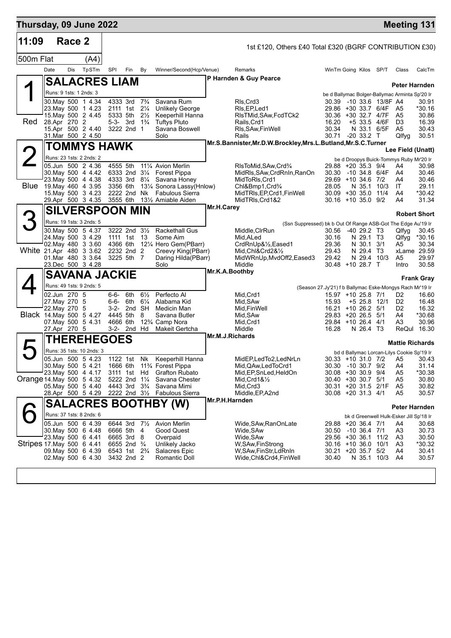| Thursday, 09 June 2022    |      |                                                                |                                                                                                                                       |                      |                                                                                                                                       |                                       |                                                                                                                                                                            |            |                                                                                                                                                                                   |                                                                                                                       |                                                                               |                                                                                  |                                                                          | <b>Meeting 131</b>                                                        |
|---------------------------|------|----------------------------------------------------------------|---------------------------------------------------------------------------------------------------------------------------------------|----------------------|---------------------------------------------------------------------------------------------------------------------------------------|---------------------------------------|----------------------------------------------------------------------------------------------------------------------------------------------------------------------------|------------|-----------------------------------------------------------------------------------------------------------------------------------------------------------------------------------|-----------------------------------------------------------------------------------------------------------------------|-------------------------------------------------------------------------------|----------------------------------------------------------------------------------|--------------------------------------------------------------------------|---------------------------------------------------------------------------|
| 11:09                     |      | Race 2                                                         |                                                                                                                                       |                      |                                                                                                                                       |                                       |                                                                                                                                                                            |            | 1st £120, Others £40 Total £320 (BGRF CONTRIBUTION £30)                                                                                                                           |                                                                                                                       |                                                                               |                                                                                  |                                                                          |                                                                           |
| 500m Flat                 |      |                                                                | (A4)                                                                                                                                  |                      |                                                                                                                                       |                                       |                                                                                                                                                                            |            |                                                                                                                                                                                   |                                                                                                                       |                                                                               |                                                                                  |                                                                          |                                                                           |
|                           | Date | Dis                                                            | TpSTm                                                                                                                                 | SPI                  | Fin                                                                                                                                   | By                                    | Winner/Second(Hcp/Venue)                                                                                                                                                   |            | Remarks                                                                                                                                                                           | WinTm Going Kilos SP/T                                                                                                |                                                                               |                                                                                  | Class                                                                    | CalcTm                                                                    |
|                           |      |                                                                | <b>SALACRES LIAM</b>                                                                                                                  |                      |                                                                                                                                       |                                       |                                                                                                                                                                            |            | P Harnden & Guy Pearce                                                                                                                                                            |                                                                                                                       |                                                                               |                                                                                  |                                                                          |                                                                           |
|                           |      |                                                                | Runs: 9 1sts: 1 2nds: 3                                                                                                               |                      |                                                                                                                                       |                                       |                                                                                                                                                                            |            |                                                                                                                                                                                   |                                                                                                                       |                                                                               |                                                                                  | be d Ballymac Bolger-Ballymac Arminta Sp'20 Ir                           | Peter Harnden                                                             |
| Red                       |      | 28.Apr 270 2                                                   | 30. May 500 1 4.34<br>23. May 500 1 4.23<br>15. May 500 2 4.45<br>15.Apr 500 2 4.40                                                   |                      | 4333 3rd 7 <sup>3</sup> / <sub>4</sub><br>2111 1st 21/4<br>5333 5th<br>5-3- 3rd $1\frac{3}{4}$<br>3222 2nd 1                          | $2\frac{1}{2}$                        | Savana Rum<br><b>Unlikely George</b><br>Keeperhill Hanna<br><b>Tuftys Pluto</b><br>Savana Boswell                                                                          |            | RIs, Crd3<br>RIs, EP, Led1<br>RIsTMid, SAw, FcdTCk2<br>Rails, Crd1<br>RIs, SAw, Fin Well                                                                                          | 30.36 +30 32.7 4/7F<br>16.20<br>30.34                                                                                 |                                                                               | 30.39 -10 33.6 13/8F A4<br>29.86 +30 33.7 6/4F A5<br>+5 33.5 4/6F<br>N 33.1 6/5F | A <sub>5</sub><br>D <sub>3</sub><br>A5                                   | 30.91<br>*30.16<br>30.86<br>16.39<br>30.43                                |
|                           |      |                                                                | 31.Mar 500 2 4.50                                                                                                                     |                      |                                                                                                                                       |                                       | Solo                                                                                                                                                                       |            | Rails                                                                                                                                                                             | 30.71 -20 33.2 T                                                                                                      |                                                                               |                                                                                  | Qlfyg                                                                    | 30.51                                                                     |
|                           |      |                                                                | TOMMYS HAWK                                                                                                                           |                      |                                                                                                                                       |                                       |                                                                                                                                                                            |            | Mr.S.Bannister, Mr.D.W.Brockley, Mrs.L.Butland, Mr.S.C.Turner                                                                                                                     |                                                                                                                       |                                                                               |                                                                                  |                                                                          | Lee Field (Unatt)                                                         |
| 2                         |      |                                                                | Runs: 23 1sts: 2 2nds: 2                                                                                                              |                      |                                                                                                                                       |                                       |                                                                                                                                                                            |            |                                                                                                                                                                                   |                                                                                                                       |                                                                               |                                                                                  | be d Droopys Buick-Tommys Ruby Mr'20 Ir                                  |                                                                           |
|                           |      |                                                                | 05.Jun 500 2 4.36<br>30. May 500 4 4.42<br>23. May 500 4 4.38<br>Blue 19 May 460 4 3.95<br>15. May 500 3 4.23<br>29.Apr 500 3 4.35    | 4555 5th<br>3356 6th | 2222 2nd Nk                                                                                                                           |                                       | 111⁄4 Avion Merlin<br>6333 2nd 31/4 Forest Pippa<br>4333 3rd 81/4 Savana Honey<br>131⁄4 Sonora Lassy(Hnlow)<br>Fabulous Sierra<br>3555 6th 131/ <sub>2</sub> Amiable Aiden |            | RIsToMid, SAw, Crd <sup>3</sup> / <sub>4</sub><br>MidRls, SAw, CrdRnIn, RanOn<br>MidToRIs, Crd1<br>Chl&Bmp1, Crd <sup>3</sup> /4<br>MidTRIs, EP, Crd1, FinWell<br>MidTRIs, Crd1&2 | 29.88 +20 35.3 9/4<br>30.30 -10 34.8 6/4F<br>29.69 +10 34.6 7/2<br>28.05<br>30.09 +30 35.0 11/4<br>30.16 +10 35.0 9/2 |                                                                               | N 35.1 10/3                                                                      | A4<br>A4<br>A4<br>IT.<br>A4<br>A4                                        | 30.98<br>30.46<br>30.46<br>29.11<br>*30.42<br>31.34                       |
|                           |      |                                                                | <b>SILVERSPOON MIN</b>                                                                                                                |                      |                                                                                                                                       |                                       |                                                                                                                                                                            | Mr.H.Carey |                                                                                                                                                                                   |                                                                                                                       |                                                                               |                                                                                  |                                                                          |                                                                           |
| З                         |      |                                                                | Runs: 19 1sts: 3 2nds: 5                                                                                                              |                      |                                                                                                                                       |                                       |                                                                                                                                                                            |            | (Ssn Suppressed) bk b Out Of Range ASB-Got The Edge Au'19 Ir                                                                                                                      |                                                                                                                       |                                                                               |                                                                                  |                                                                          | <b>Robert Short</b>                                                       |
| White 21.Apr 480 3 3.62   |      |                                                                | 30. May 500 5 4.37<br>24. May 500 3 4.29<br>02. May 480 3 3.60<br>01.Mar 480 3 3.64<br>23.Dec 500 3 4.28                              |                      | 3222 2nd 31/2<br>1111 1st 13<br>4366 6th<br>2232 2nd 2<br>3225 5th 7                                                                  |                                       | <b>Rackethall Gus</b><br>Some Aim<br>121/4 Hero Gem(PBarr)<br>Creevy King(PBarr)<br>Daring Hilda(PBarr)<br>Solo                                                            |            | Middle, CIrRun<br>Mid, ALed<br>CrdRnUp&1/2,Eased1<br>Mid, Chl&Crd2&1/2<br>MidWRnUp, MvdOff2, Eased3<br>Middle                                                                     | 30.56<br>30.16<br>29.36<br>29.43<br>29.42<br>30.48 +10 28.7 T                                                         | $-40$ 29.2 T <sub>3</sub><br>N 29.1 T <sub>3</sub><br>N 30.1 3/1<br>N 29.4 T3 | N 29.4 10/3                                                                      | Qlfyg<br>Qlfyg<br>A5<br>A5<br>Intro                                      | 30.45<br>*30.16<br>30.34<br>xLame 29.59<br>29.97<br>30.58                 |
|                           |      |                                                                | <b>SAVANA JACKIE</b>                                                                                                                  |                      |                                                                                                                                       |                                       |                                                                                                                                                                            |            | Mr.K.A.Boothby                                                                                                                                                                    |                                                                                                                       |                                                                               |                                                                                  |                                                                          |                                                                           |
|                           |      |                                                                | Runs: 49 1sts: 9 2nds: 5                                                                                                              |                      |                                                                                                                                       |                                       |                                                                                                                                                                            |            |                                                                                                                                                                                   |                                                                                                                       |                                                                               |                                                                                  |                                                                          | <b>Frank Gray</b>                                                         |
|                           |      | 02.Jun 270 5<br>27. May 270 5<br>22. May 270 5<br>27.Apr 270 5 | Black 14. May 500 5 4.27<br>07. May 500 5 4.31                                                                                        | 6-6-<br>3-2-         | 6th<br>6-6- 6th<br>3-2- 2nd SH<br>4445 5th<br>4666 6th<br>2nd Hd                                                                      | $6\frac{1}{2}$<br>$6\frac{1}{4}$<br>8 | Perfecto Al<br>Alabama Kid<br>Medicin Man<br>Savana Butler<br>12% Camp Nora<br>Makeit Gertcha                                                                              |            | (Season 27.Jy'21) f b Ballymac Eske-Mongys Rach Mr'19 Ir<br>Mid, Crd1<br>Mid, SAw<br>Mid, Fin Well<br>Mid, SAw<br>Mid, Crd1<br>Middle                                             | 15.97 +10 25.8 7/1<br>15.93<br>16.21 +10 26.2 5/1<br>29.83 +20 26.5 5/1<br>29.84 +10 26.4 4/1<br>16.28                | $+5$ 25.8 12/1<br>N 26.4 T3                                                   |                                                                                  | D2<br>D <sub>2</sub><br>D <sub>2</sub><br>A4<br>A3                       | 16.60<br>16.48<br>16.32<br>*30.68<br>30.96<br>ReQul 16.30                 |
|                           |      |                                                                | <b>THEREHEGOES</b>                                                                                                                    |                      |                                                                                                                                       |                                       |                                                                                                                                                                            |            | Mr.M.J.Richards                                                                                                                                                                   |                                                                                                                       |                                                                               |                                                                                  |                                                                          | <b>Mattie Richards</b>                                                    |
| Orange 14 May 500 5 4.32  |      |                                                                | Runs: 35 1sts: 10 2nds: 3<br>05.Jun 500 5 4.23<br>30. May 500 5 4.21<br>23. May 500 4 4.17<br>05. May 500 5 4.40<br>28.Apr 500 5 4.29 |                      | 1122 1st<br>3111 1st Hd<br>5222 2nd 11/4<br>4443 3rd 3 <sup>3</sup> / <sub>4</sub>                                                    | Nk                                    | Keeperhill Hanna<br>1666 6th 11% Forest Pippa<br><b>Grafton Rubato</b><br>Savana Chester<br>Savana Mimi<br>2222 2nd 31/2 Fabulous Sierra                                   |            | MidEP,LedTo2,LedNrLn<br>Mid, QAw, Led To Crd1<br>Mid, EP, SnLed, HeldOn<br>$Mid,Crd18\frac{1}{2}$<br>Mid, Crd3<br>Middle, EP, A2nd                                                | 30.30 -10 30.7 9/2<br>30.08 +30 30.9 9/4<br>30.40 +30 30.7 5/1<br>30.31 +20 31.5 2/1F<br>30.08 +20 31.3 4/1           |                                                                               |                                                                                  | bd d Ballymac Lorcan-Lilys Cookie Sp'19 Ir<br>A4<br>A5<br>A5<br>A5<br>A5 | 30.33 +10 31.0 7/2 A5 30.43<br>31.14<br>*30.38<br>30.80<br>30.82<br>30.57 |
|                           |      |                                                                |                                                                                                                                       |                      |                                                                                                                                       |                                       | <b>SALACRES BOOTHBY (W)</b>                                                                                                                                                |            | Mr.P.H.Harnden                                                                                                                                                                    |                                                                                                                       |                                                                               |                                                                                  |                                                                          | Peter Harnden                                                             |
|                           |      |                                                                | Runs: 37 1sts: 8 2nds: 6                                                                                                              |                      |                                                                                                                                       |                                       |                                                                                                                                                                            |            |                                                                                                                                                                                   |                                                                                                                       |                                                                               |                                                                                  | bk d Greenwell Hulk-Esker Jill Sp'18 Ir                                  |                                                                           |
| Stripes 17 May 500 6 4.41 |      |                                                                | 05.Jun 500 6 4.39<br>30. May 500 6 4.48<br>23. May 500 6 4.41<br>09. May 500 6 4.39<br>02. May 500 6 4.30                             |                      | 6644 3rd 71/2<br>6666 5th<br>6665 3rd<br>6655 2nd <sup>3</sup> / <sub>4</sub><br>6543 1st 2 <sup>3</sup> / <sub>4</sub><br>3432 2nd 2 | 4<br>- 8                              | <b>Avion Merlin</b><br>Good Quest<br>Overpaid<br>Unlikely Jacko<br>Salacres Epic<br>Romantic Doll                                                                          |            | Wide, SAw, RanOn Late<br>Wide, SAw<br>Wide, SAw<br>W, SAw, FinStrong<br>W,SAw,FinStr,LdRnIn<br>Wide,Chl&Crd4,FinWell                                                              | 29.88 +20 36.4 7/1<br>30.50 -10 36.4 7/1<br>29.56 +30 36.1<br>30.16 +10 36.0 10/1<br>30.21 +20 35.7 5/2<br>30.40      |                                                                               | 11/2<br>N 35.1 10/3                                                              | A4<br>A3<br>A3<br>A <sub>3</sub><br>A4<br>A4                             | 30.68<br>30.73<br>30.50<br>*30.32<br>30.41<br>30.57                       |
|                           |      |                                                                |                                                                                                                                       |                      |                                                                                                                                       |                                       |                                                                                                                                                                            |            |                                                                                                                                                                                   |                                                                                                                       |                                                                               |                                                                                  |                                                                          |                                                                           |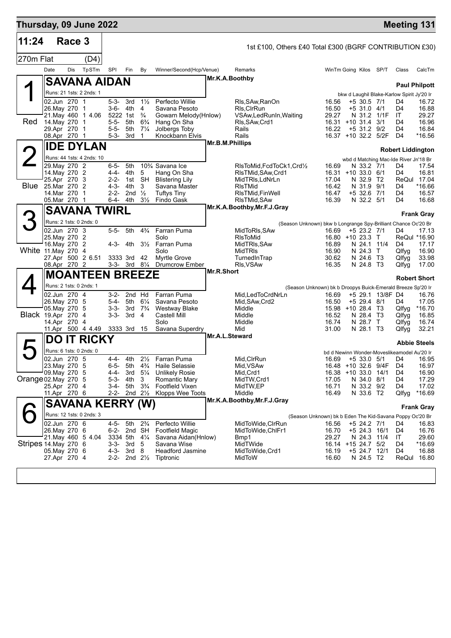| Thursday, 09 June 2022 |                                        |        |                           |                        |                                                     |                                  |                                                |                 |                                                                |                                            |                             |                  | <b>Meeting 131</b>                          |                       |
|------------------------|----------------------------------------|--------|---------------------------|------------------------|-----------------------------------------------------|----------------------------------|------------------------------------------------|-----------------|----------------------------------------------------------------|--------------------------------------------|-----------------------------|------------------|---------------------------------------------|-----------------------|
| 11:24                  |                                        | Race 3 |                           |                        |                                                     |                                  |                                                |                 | 1st £100, Others £40 Total £300 (BGRF CONTRIBUTION £30)        |                                            |                             |                  |                                             |                       |
| 270m Flat              |                                        |        | (D4)                      |                        |                                                     |                                  |                                                |                 |                                                                |                                            |                             |                  |                                             |                       |
|                        | Date                                   | Dis    | TpSTm                     | SPI                    | Fin                                                 | By                               | Winner/Second(Hcp/Venue)                       |                 | Remarks                                                        | WinTm Going Kilos SP/T                     |                             |                  | Class                                       | CalcTm                |
|                        |                                        |        | <b>SAVANA AIDAN</b>       |                        |                                                     |                                  |                                                | Mr.K.A.Boothby  |                                                                |                                            |                             |                  |                                             | <b>Paul Philpott</b>  |
|                        |                                        |        | Runs: 21 1sts: 2 2nds: 1  |                        |                                                     |                                  |                                                |                 |                                                                |                                            |                             |                  | bkw d Laughil Blake-Karlow Spirit Jy'20 Ir  |                       |
|                        | 02.Jun 270 1                           |        |                           | 5-3-                   | 3rd<br>4th                                          | $1\frac{1}{2}$<br>4              | Perfecto Willie                                |                 | Rls,SAw,RanOn                                                  | 16.56<br>16.50                             | $+5$ 30.5 7/1               |                  | D4<br>D4                                    | 16.72                 |
|                        | 26. May 270 1                          |        | 21. May 460 1 4.06        | 3-6-                   | 5222 1st                                            | $\frac{3}{4}$                    | Savana Pesoto<br>Gowarn Melody(Hnlow)          |                 | RIs, CIrRun<br>VSAw, Led RunIn, Waiting                        | 29.27                                      | +5 31.0 4/1<br>N 31.2 1/1F  |                  | IT                                          | 16.88<br>29.27        |
| Red                    | 14. May 270 1<br>29.Apr 270 1          |        |                           | 5-5-<br>$5 - 5 -$      | 5th<br>5th                                          | $6\frac{3}{4}$<br>$7\frac{1}{4}$ | Hang On Sha<br>Jolbergs Toby                   |                 | RIs, SAw, Crd1<br>Rails                                        | 16.31 +10 31.4<br>16.22                    | +5 31.2 9/2                 | 3/1              | D4<br>D <sub>4</sub>                        | 16.96<br>16.84        |
|                        | 08.Apr 270 1                           |        |                           | $5 - 3 -$              | 3rd                                                 | 1                                | Knockbann Elvis                                |                 | Rails                                                          | 16.37 +10 32.2 5/2F                        |                             |                  | D4                                          | *16.56                |
|                        |                                        |        | <b>IDE DYLAN</b>          |                        |                                                     |                                  |                                                | Mr.B.M.Phillips |                                                                |                                            |                             |                  | <b>Robert Liddington</b>                    |                       |
|                        |                                        |        | Runs: 44 1sts: 4 2nds: 10 |                        |                                                     |                                  |                                                |                 |                                                                |                                            |                             |                  | wbd d Matching Mac-Ide River Jn'18 Br       |                       |
|                        | 29. May 270 2                          |        |                           | $6 - 5 -$              | 5th                                                 |                                  | 10% Savana Ice                                 |                 | RIsToMid,FcdToCk1,Crd½                                         | 16.69                                      | N 33.2 7/1                  |                  | D4<br>D4                                    | 17.54<br>16.81        |
|                        | 14. May 270 2<br>25.Apr 270 3          |        |                           | 4-4-<br>$2 - 2 -$      | 4th<br>1st                                          | 5<br><b>SH</b>                   | Hang On Sha<br><b>Blistering Lily</b>          |                 | RIsTMid, SAw, Crd1<br>MidTRIs, LdNrLn                          | 16.31 +10 33.0 6/1<br>17.04                | N 32.9                      | T2               |                                             | ReQul 17.04           |
|                        | <b>Blue</b> 25.Mar 270 2<br>14.Mar 270 |        | $\mathbf 1$               | $4 - 3 -$<br>$2 - 2 -$ | 4th<br>2 <sub>nd</sub>                              | 3<br>$\frac{1}{2}$               | Savana Master<br><b>Tuftys Tiny</b>            |                 | RIsTMid<br>RIsTMid, FinWell                                    | 16.42<br>16.47                             | N 31.9<br>+5 32.6           | 9/1<br>- 7/1     | D4<br>D4                                    | $*16.66$<br>16.57     |
|                        | 05.Mar 270 1                           |        |                           | 6-4-                   | 4th                                                 | $3\frac{1}{2}$                   | Findo Gask                                     |                 | RIsTMid, SAw                                                   | 16.39                                      | N 32.2 5/1                  |                  | D <sub>4</sub>                              | 16.68                 |
|                        |                                        |        | <b>SAVANA TWIRL</b>       |                        |                                                     |                                  |                                                |                 | Mr.K.A.Boothby, Mr.F.J.Gray                                    |                                            |                             |                  |                                             | <b>Frank Gray</b>     |
| 3                      | Runs: 2 1sts: 0 2nds: 0                |        |                           |                        |                                                     |                                  |                                                |                 | (Season Unknown) bkw b Longrange Spy-Brilliant Chance Oc'20 Br |                                            |                             |                  |                                             |                       |
|                        | 02.Jun 270 3                           |        |                           | $5 - 5 -$              | 5th                                                 | $4\frac{3}{4}$                   | Farran Puma                                    |                 | MidToRIs, SAw                                                  | 16.69                                      | +5 23.2 7/1                 |                  | D4                                          | 17.13                 |
|                        | 25. May 270 2<br>16. May 270 2         |        |                           | 4-3-                   |                                                     |                                  | Solo<br>4th 3½ Farran Puma                     |                 | RIsToMid<br>MidTRIs, SAw                                       | 16.80 +10 23.3 T<br>16.89                  | N 24.1 11/4                 |                  | D4                                          | ReQul *16.90<br>17.17 |
| White 11. May 270 4    |                                        |        |                           |                        |                                                     |                                  | Solo                                           |                 | MidTRIs                                                        | 16.90                                      | N 24.3                      | $\top$           | Qlfyq                                       | 16.90                 |
|                        | 08.Apr 270 2                           |        | 27.Apr 500 2 6.51         |                        | 3333 3rd<br>$3-3-3rd$ 8 <sup>1</sup> / <sub>4</sub> | 42                               | <b>Myrtle Grove</b><br>Drumcrow Ember          |                 | TurnedInTrap<br>RIs, VSAw                                      | 30.62<br>16.35                             | N 24.6 T3<br>N 24.8 T3      |                  | Qlfyg<br>Qlfyg                              | 33.98<br>17.00        |
|                        |                                        |        | <b>MOANTEEN BREEZE</b>    |                        |                                                     |                                  |                                                | Mr.R.Short      |                                                                |                                            |                             |                  |                                             | <b>Robert Short</b>   |
|                        | Runs: 2 1sts: 0 2nds: 1                |        |                           |                        |                                                     |                                  |                                                |                 | (Season Unknown) bk b Droopys Buick-Emerald Breeze Sp'20 Ir    |                                            |                             |                  |                                             |                       |
|                        | 02.Jun 270 4                           |        |                           | 3-2-                   | 2nd Hd                                              |                                  | Farran Puma                                    |                 | Mid,LedToCrdNrLn                                               | 16.69                                      |                             | +5 29.1 13/8F D4 |                                             | 16.76                 |
|                        | 26. May 270 5<br>05. May 270 5         |        |                           | 5-4-<br>$3 - 3 -$      | 5th<br>3rd                                          | $6\frac{1}{4}$<br>$7\frac{3}{4}$ | Savana Pesoto<br><b>Westway Blake</b>          |                 | Mid, SAw, Crd2<br>Middle                                       | 16.50<br>15.98 +10 28.4 T3                 | $+5$ 29.4 8/1               |                  | D4<br>Qlfyg                                 | 17.05<br>*16.70       |
| Black 19.Apr 270 4     |                                        |        |                           | 3-3-                   | 3rd                                                 | 4                                | <b>Castell Mill</b>                            |                 | Middle                                                         | 16.52                                      | N 28.4 T3                   |                  | Qlfyg                                       | 16.85                 |
|                        | 14.Apr 270 4                           |        | 11.Apr 500 4 4.49         |                        | 3333 3rd                                            | 15                               | Solo<br>Savana Superdry                        |                 | Middle<br>Mid                                                  | 16.74<br>31.00                             | N 28.7 T<br>N 28.1 T3       |                  | Qlfyg<br>Qlfyg                              | 16.74<br>32.21        |
|                        | DO                                     | IT     | <b>RICKY</b>              |                        |                                                     |                                  |                                                | Mr.A.L.Steward  |                                                                |                                            |                             |                  |                                             |                       |
|                        | Runs: 6 1sts: 0 2nds: 0                |        |                           |                        |                                                     |                                  |                                                |                 |                                                                |                                            |                             |                  | bd d Newinn Wonder-Moveslikeamodel Au'20 Ir | <b>Abbie Steels</b>   |
|                        | 02.Jun 270 5                           |        |                           | 4-4-                   | 4th                                                 | $2\frac{1}{2}$                   | Farran Puma                                    |                 | Mid, CIrRun                                                    | 16.69                                      | $+533.05/1$                 |                  | D4                                          | 16.95                 |
|                        | 23. May 270 5<br>09. May 270 5         |        |                           | $6 - 5 -$<br>4-4-      | 5th<br>3rd                                          | $4\frac{3}{4}$<br>$5\frac{1}{4}$ | <b>Haile Selassie</b><br><b>Unlikely Rosie</b> |                 | Mid, VSAw<br>Mid, Crd1                                         | 16.48 +10 32.6 9/4F<br>16.38 +10 33.0 14/1 |                             |                  | D4<br>D4                                    | 16.97<br>16.90        |
| Orange 02. May 270 5   |                                        |        |                           | $5 - 3 -$              | 4th                                                 | 3                                | Romantic Mary                                  |                 | MidTW, Crd1                                                    | 17.05                                      | N 34.0 8/1                  |                  | D4                                          | 17.29                 |
|                        | 25.Apr 270 4<br>11.Apr 270 6           |        |                           | 3-4-<br>2-2-           | 5th<br>2nd $2\frac{1}{2}$                           | $3\frac{3}{4}$                   | Footfield Vixen<br>Klopps Wee Toots            |                 | MidTW,EP<br>Middle                                             | 16.71<br>16.49                             | N 33.2 9/2<br>N 33.6 T2     |                  | D4<br>Qlfyg                                 | 17.02<br>*16.69       |
|                        |                                        |        | <b>SAVANA KERRY (W)</b>   |                        |                                                     |                                  |                                                |                 | Mr.K.A.Boothby, Mr.F.J.Gray                                    |                                            |                             |                  |                                             |                       |
|                        |                                        |        | Runs: 12 1sts: 0 2nds: 3  |                        |                                                     |                                  |                                                |                 | (Season Unknown) bk b Eden The Kid-Savana Poppy Oc'20 Br       |                                            |                             |                  |                                             | <b>Frank Gray</b>     |
|                        | 02.Jun 270 6                           |        |                           | $4 - 5 -$              | 5th                                                 | $2\frac{3}{4}$                   | Perfecto Willie                                |                 | MidToWide,CIrRun                                               | 16.56                                      | +5 24.2 7/1                 |                  | D4                                          | 16.83                 |
|                        | 26.May 270 6                           |        | 21. May 460 5 4.04        | 6-2-<br>3334 5th       | 2nd SH                                              | $4\frac{1}{4}$                   | Footfield Magic<br>Savana Aidan(Hnlow)         |                 | MidToWide, ChlFr1<br>Bmp1                                      | 16.70<br>29.27                             | +5 24.3 16/1<br>N 24.3 11/4 |                  | D4<br>IT                                    | 16.76<br>29.60        |
| Stripes 14. May 270 6  |                                        |        |                           | $3 - 3 -$              | 3rd                                                 | 5                                | Savana Wise                                    |                 | MidTWide                                                       | 16.14 +15 24.7 5/2                         |                             |                  | D4                                          | *16.69                |
|                        | 05. May 270 6<br>27.Apr 270 4          |        |                           | $4 - 3 -$<br>$2 - 2 -$ | 3rd <sub>8</sub>                                    | 2nd $2\frac{1}{2}$               | <b>Headford Jasmine</b><br>Tiptronic           |                 | MidToWide,Crd1<br>MidToW                                       | 16.19<br>16.60                             | +5 24.7 12/1<br>N 24.5 T2   |                  | D4                                          | 16.88<br>ReQul 16.80  |
|                        |                                        |        |                           |                        |                                                     |                                  |                                                |                 |                                                                |                                            |                             |                  |                                             |                       |
|                        |                                        |        |                           |                        |                                                     |                                  |                                                |                 |                                                                |                                            |                             |                  |                                             |                       |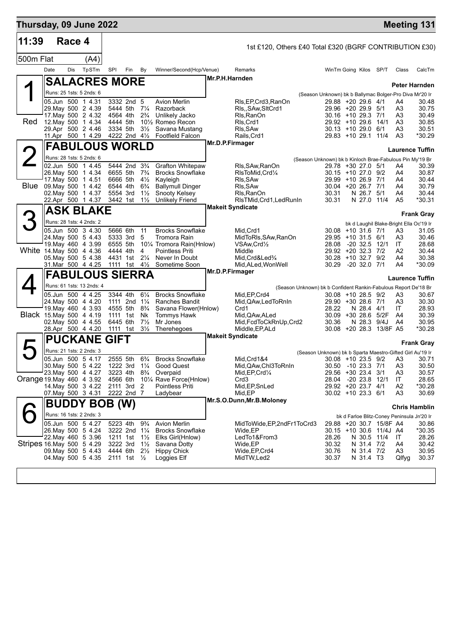| Thursday, 09 June 2022    |      |        |                                               |          |                                        |                                  |                                                              |                 |                                                         |                                                                                       |                             |                         |                      | <b>Meeting 131</b>                         |
|---------------------------|------|--------|-----------------------------------------------|----------|----------------------------------------|----------------------------------|--------------------------------------------------------------|-----------------|---------------------------------------------------------|---------------------------------------------------------------------------------------|-----------------------------|-------------------------|----------------------|--------------------------------------------|
| 11:39                     |      | Race 4 |                                               |          |                                        |                                  |                                                              |                 | 1st £120, Others £40 Total £320 (BGRF CONTRIBUTION £30) |                                                                                       |                             |                         |                      |                                            |
| 500m Flat                 |      |        | (A4)                                          |          |                                        |                                  |                                                              |                 |                                                         |                                                                                       |                             |                         |                      |                                            |
|                           | Date | Dis    | TpSTm                                         | SPI      | Fin                                    | – By                             | Winner/Second(Hcp/Venue)                                     |                 | Remarks                                                 | WinTm Going Kilos SP/T                                                                |                             |                         | Class                | CalcTm                                     |
|                           |      |        | <b>SALACRES MORE</b>                          |          |                                        |                                  |                                                              | Mr.P.H.Harnden  |                                                         |                                                                                       |                             |                         |                      |                                            |
|                           |      |        | Runs: 25 1sts: 5 2nds: 6                      |          |                                        |                                  |                                                              |                 |                                                         |                                                                                       |                             |                         |                      | Peter Harnden                              |
|                           |      |        | 05.Jun 500 1 4.31                             |          | 3332 2nd 5                             |                                  | <b>Avion Merlin</b>                                          |                 | RIs, EP, Crd3, RanOn                                    | (Season Unknown) bk b Ballymac Bolger-Pro Diva Mr'20 Ir<br>29.88 +20 29.6 4/1         |                             |                         | A4                   | 30.48                                      |
|                           |      |        | 29. May 500 2 4.39                            |          | 5444 5th 71/4                          |                                  | Razorback                                                    |                 | RIs,, SAw, SItCrd1                                      | 29.96 +20 29.9 5/1<br>$30.16 + 10.29.3$ 7/1                                           |                             |                         | A3                   | 30.75                                      |
| Red                       |      |        | 17. May 500 2 4.32<br>12. May 500 1 4.34      |          | 4564 4th<br>4444 5th                   | $2\frac{3}{4}$                   | Unlikely Jacko<br>10 <sup>1</sup> / <sub>2</sub> Romeo Recon |                 | Rls, RanOn<br>RIs.Crd1                                  | 29.92 +10 29.6 14/1                                                                   |                             |                         | A3<br>A <sub>3</sub> | 30.49<br>30.85                             |
|                           |      |        | 29.Apr 500 2 4.46                             |          | 3334 5th                               | $3\frac{1}{2}$                   | Savana Mustang                                               |                 | RIs, SAw                                                | $30.13 + 1029.0$                                                                      |                             | 6/1                     | A3                   | 30.51                                      |
|                           |      |        | 11.Apr 500 1 4.29                             |          | 4222 2nd $4\frac{1}{2}$                |                                  | <b>Footfield Falcon</b>                                      | Mr.D.P.Firmager | Rails, Crd1                                             | 29.83 +10 29.1 11/4                                                                   |                             |                         | A <sub>3</sub>       | *30.29                                     |
|                           |      |        | <b>FABULOUS WORLD</b>                         |          |                                        |                                  |                                                              |                 |                                                         |                                                                                       |                             |                         |                      | <b>Laurence Tuffin</b>                     |
|                           |      |        | Runs: 28 1sts: 5 2nds: 6<br>02.Jun 500 1 4.45 |          | 5444 2nd 3 <sup>3</sup> / <sub>4</sub> |                                  | <b>Grafton Whitepaw</b>                                      |                 |                                                         | (Season Unknown) bk b Kinloch Brae-Fabulous Pin My'19 Br<br>29.78 +30 27.0 5/1        |                             |                         | A4                   | 30.39                                      |
|                           |      |        | 26. May 500 1 4.34                            |          | 6655 5th                               | $7\frac{3}{4}$                   | <b>Brocks Snowflake</b>                                      |                 | Rls, SAw, RanOn<br>RIsToMid, Crd1/4                     | $30.15 + 1027.09/2$                                                                   |                             |                         | A4                   | 30.87                                      |
|                           |      |        | 17. May 500 1 4.51                            |          | 6666 5th                               | $4\frac{1}{2}$                   | Kayleigh                                                     |                 | RIs, SAw                                                | 29.99 +10 26.9 7/1                                                                    |                             |                         | A4                   | 30.44                                      |
| Blue                      |      |        | 09. May 500 1 4.42<br>02. May 500 1 4.37      |          | 6544 4th<br>5554 3rd                   | $6\frac{3}{4}$<br>$1\frac{1}{2}$ | <b>Ballymull Dinger</b><br>Snooty Kelsey                     |                 | RIs, SAw<br>Rls, RanOn                                  | 30.04 +20 26.7 7/1<br>30.31                                                           | N 26.7                      | 5/1                     | A4<br>A4             | 30.79<br>30.44                             |
|                           |      |        | 22.Apr 500 1 4.37                             |          | 3442 1st                               | $1\frac{1}{2}$                   | <b>Unlikely Friend</b>                                       |                 | RIsTMid, Crd1, LedRunIn                                 | 30.31                                                                                 | N 27.0 11/4                 |                         | A <sub>5</sub>       | *30.31                                     |
|                           |      |        | <b>ASK BLAKE</b>                              |          |                                        |                                  |                                                              |                 | <b>Makeit Syndicate</b>                                 |                                                                                       |                             |                         |                      | <b>Frank Gray</b>                          |
|                           |      |        | Runs: 28 1sts: 4 2nds: 2                      |          |                                        |                                  |                                                              |                 |                                                         |                                                                                       |                             |                         |                      | bk d Laughil Blake-Bright Ella Oc'19 Ir    |
|                           |      |        | 05.Jun 500 3 4.30                             |          | 5666 6th                               | 11                               | <b>Brocks Snowflake</b>                                      |                 | Mid.Crd1                                                | $30.08 + 10.31.6$ 7/1                                                                 |                             |                         | A3                   | 31.05                                      |
|                           |      |        | 24. May 500 5 4.43<br>19 May 460 4 3.99       |          | 5333 3rd<br>6555 5th                   | 5                                | Tromora Rain<br>101⁄4 Tromora Rain(Hnlow)                    |                 | MidToRIs, SAw, RanOn<br>VSAw,Crd1/2                     | 29.95 +10 31.5 6/1<br>28.08                                                           | -20 32.5 12/1               |                         | A3<br>IT             | 30.46<br>28.68                             |
| White 14 May 500 4 4.36   |      |        |                                               |          | 4444 4th                               | 4                                | <b>Pointless Priti</b>                                       |                 | Middle                                                  | 29.92 +20 32.3 7/2                                                                    |                             |                         | A2                   | 30.44                                      |
|                           |      |        | 05 May 500 5 4.38<br>31.Mar 500 4 4.25        |          | 4431 1st<br>1111 1st 41/ <sub>2</sub>  | $2\frac{1}{4}$                   | Never In Doubt<br>Sometime Soon                              |                 | Mid,Crd&Led <sup>3</sup> /4<br>Mid, ALed, Won Well      | 30.28 +10 32.7 9/2<br>30.29                                                           | -20 32.0 7/1                |                         | A4<br>A4             | 30.38<br>*30.09                            |
|                           |      |        | <b>FABULOUS SIERRA</b>                        |          |                                        |                                  |                                                              | Mr.D.P.Firmager |                                                         |                                                                                       |                             |                         |                      |                                            |
|                           |      |        | Runs: 61 1sts: 13 2nds: 4                     |          |                                        |                                  |                                                              |                 |                                                         |                                                                                       |                             |                         |                      | <b>Laurence Tuffin</b>                     |
|                           |      |        | 05.Jun 500 4 4.25                             |          | 3344 4th                               | $6\frac{1}{4}$                   | <b>Brocks Snowflake</b>                                      |                 | Mid, EP, Crd4                                           | (Season Unknown) bk b Confident Rankin-Fabulous Report De'18 Br<br>30.08 +10 28.5 9/2 |                             |                         | A3                   | 30.67                                      |
|                           |      |        | 24. May 500 4 4.20                            |          | 1111 2nd $1\frac{1}{4}$                |                                  | <b>Ranches Bandit</b>                                        |                 | Mid, QAw, Led To Rn In                                  | 29.90 +30 28.6 7/1                                                                    |                             |                         | A3                   | 30.30                                      |
| Black 15. May 500 4 4.19  |      |        | 19. May 460 4 3.93                            |          | 4555 5th<br>1111 1st                   | $8\frac{3}{4}$<br>Nk             | Savana Flower(Hnlow)<br><b>Tommys Hawk</b>                   |                 | Crd1<br>Mid, QAw, ALed                                  | 28.22<br>30.09                                                                        | N 28.4 4/1<br>+30 28.6 5/2F |                         | ΙT<br>A4             | 28.93<br>30.39                             |
|                           |      |        | 02. May 500 4 4.55                            |          | 6445 6th                               | $7\frac{1}{2}$                   | Mr Jones                                                     |                 | Mid, FcdToCkRnUp, Crd2                                  | 30.36                                                                                 |                             | N 28.3 9/4J             | A4                   | 30.95                                      |
|                           |      |        | 28.Apr 500 4 4.20                             |          | 1111 1st                               | $3\frac{1}{2}$                   | Therehegoes                                                  |                 | Middle, EP, ALd<br><b>Makeit Syndicate</b>              |                                                                                       |                             | 30.08 +20 28.3 13/8F A5 |                      | *30.28                                     |
|                           |      |        | <b>PUCKANE GIFT</b>                           |          |                                        |                                  |                                                              |                 |                                                         |                                                                                       |                             |                         |                      | <b>Frank Gray</b>                          |
|                           |      |        | Runs: 21 1sts: 2 2nds: 3                      |          |                                        |                                  |                                                              |                 |                                                         | (Season Unknown) bk b Sparta Maestro-Gifted Girl Au'19 Ir                             |                             |                         |                      |                                            |
|                           |      |        | 05.Jun 500 5 4.17<br>30. May 500 5 4.22       | 1222 3rd | 2555 5th                               | $6\frac{3}{4}$<br>$1\frac{1}{4}$ | <b>Brocks Snowflake</b><br><b>Good Quest</b>                 |                 | Mid, Crd1&4<br>Mid, QAw, Chl3ToRnIn                     | 30.50 -10 23.3 7/1                                                                    |                             | 30.08 +10 23.5 9/2      | A3<br>A <sub>3</sub> | 30.71<br>30.50                             |
|                           |      |        | 23. May 500 4 4.27                            |          | 3223 4th                               | $8\frac{3}{4}$                   | Overpaid                                                     |                 | Mid, EP, Crd <sup>1</sup> / <sub>4</sub>                | 29.56 +30 23.4 3/1                                                                    |                             |                         | A <sub>3</sub>       | 30.57                                      |
| Orange 19. May 460 4 3.92 |      |        | 14. May 500 3 4.22                            |          | 4566 6th<br>2111 3rd 2                 |                                  | 10¼ Rave Force(Hnlow)<br>Pointless Priti                     |                 | Crd <sub>3</sub><br>Mid, EP, SnLed                      | 28.04 -20 23.8<br>29.92 +20 23.7 4/1                                                  |                             | 12/1                    | IT<br>A <sub>2</sub> | 28.65<br>*30.28                            |
|                           |      |        | 07. May 500 3 4.31                            |          | 2222 2nd 7                             |                                  | Ladybear                                                     |                 | Mid, EP                                                 | 30.02 +10 23.3 6/1                                                                    |                             |                         | A3                   | 30.69                                      |
|                           |      |        | <b>BUDDY BOB (W)</b>                          |          |                                        |                                  |                                                              |                 | Mr.S.O.Dunn, Mr.B.Moloney                               |                                                                                       |                             |                         |                      | <b>Chris Hamblin</b>                       |
|                           |      |        | Runs: 16 1sts: 2 2nds: 3                      |          |                                        |                                  |                                                              |                 |                                                         |                                                                                       |                             |                         |                      | bk d Farloe Blitz-Coney Peninsula Jn'20 Ir |
|                           |      |        | 05.Jun 500 5 4.27                             |          | 5223 4th                               | $9\frac{3}{4}$                   | <b>Avion Merlin</b>                                          |                 | MidToWide, EP, 2nd Fr1ToCrd3                            |                                                                                       |                             | 29.88 +20 30.7 15/8F A4 |                      | 30.86                                      |
|                           |      |        | 26. May 500 5 4.24<br>22. May 460 5 3.96      |          | 3222 2nd 11/4<br>1211 1st              | $1\frac{1}{2}$                   | <b>Brocks Snowflake</b><br>Elks Girl(Hnlow)                  |                 | Wide,EP<br>LedTo1&From3                                 | 30.15 +10 30.6 11/4J A4<br>28.26                                                      | N 30.5 11/4                 |                         | IT                   | *30.35<br>28.26                            |
| Stripes 16 May 500 5 4.29 |      |        |                                               |          | 3222 3rd                               | $1\frac{1}{2}$                   | Savana Dotty                                                 |                 | Wide, EP                                                | 30.32                                                                                 | N 31.4 7/2                  |                         | A4                   | 30.42                                      |
|                           |      |        | 09. May 500 5 4.43<br>04. May 500 5 4.35      |          | 4444 6th                               | $2\frac{1}{2}$                   | <b>Hippy Chick</b>                                           |                 | Wide, EP, Crd4                                          | 30.76                                                                                 | N 31.4 7/2                  |                         | A3                   | 30.95                                      |
|                           |      |        |                                               |          | 2111 1st 1/2                           |                                  | Loggies Elf                                                  |                 | MidTW, Led <sub>2</sub>                                 | 30.37                                                                                 | N 31.4 T3                   |                         | Qlfyg                | 30.37                                      |
|                           |      |        |                                               |          |                                        |                                  |                                                              |                 |                                                         |                                                                                       |                             |                         |                      |                                            |
|                           |      |        |                                               |          |                                        |                                  |                                                              |                 |                                                         |                                                                                       |                             |                         |                      |                                            |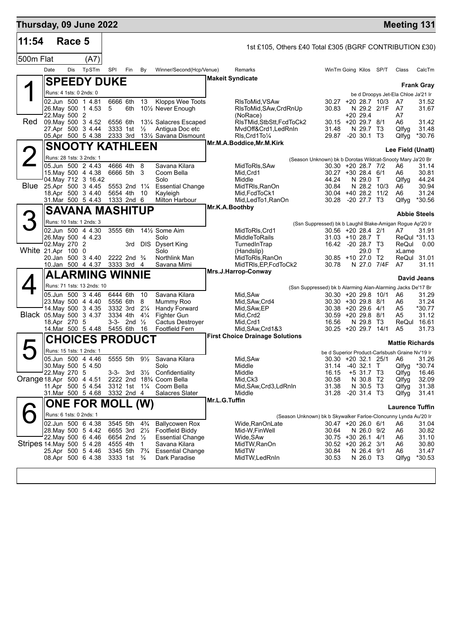| Thursday, 09 June 2022    |                         |        |                                                                                                                 |                                              |                                                |                                                         |                                                                                                                        |                |                                                                                                                                          |                                                                                                                                                                                      |                                                      |             | <b>Meeting 131</b>                                                                                                  |                                                     |
|---------------------------|-------------------------|--------|-----------------------------------------------------------------------------------------------------------------|----------------------------------------------|------------------------------------------------|---------------------------------------------------------|------------------------------------------------------------------------------------------------------------------------|----------------|------------------------------------------------------------------------------------------------------------------------------------------|--------------------------------------------------------------------------------------------------------------------------------------------------------------------------------------|------------------------------------------------------|-------------|---------------------------------------------------------------------------------------------------------------------|-----------------------------------------------------|
| 11:54                     |                         | Race 5 |                                                                                                                 |                                              |                                                |                                                         |                                                                                                                        |                | 1st £105, Others £40 Total £305 (BGRF CONTRIBUTION £30)                                                                                  |                                                                                                                                                                                      |                                                      |             |                                                                                                                     |                                                     |
| 500m Flat                 |                         |        | (A7)                                                                                                            |                                              |                                                |                                                         |                                                                                                                        |                |                                                                                                                                          |                                                                                                                                                                                      |                                                      |             |                                                                                                                     |                                                     |
|                           | Date                    | Dis    | TpSTm                                                                                                           | SPI                                          | Fin                                            | By                                                      | Winner/Second(Hcp/Venue)                                                                                               |                | Remarks                                                                                                                                  | WinTm Going Kilos SP/T                                                                                                                                                               |                                                      |             | Class                                                                                                               | CalcTm                                              |
|                           |                         |        | <b>SPEEDY DUKE</b>                                                                                              |                                              |                                                |                                                         |                                                                                                                        |                | <b>Makeit Syndicate</b>                                                                                                                  |                                                                                                                                                                                      |                                                      |             |                                                                                                                     |                                                     |
|                           |                         |        | Runs: 4 1sts: 0 2nds: 0                                                                                         |                                              |                                                |                                                         |                                                                                                                        |                |                                                                                                                                          |                                                                                                                                                                                      |                                                      |             | be d Droopys Jet-Ela Chloe Ja'21 Ir                                                                                 | <b>Frank Gray</b>                                   |
|                           | 22. May 500 2           |        | 02.Jun 500 1 4.81<br>26. May 500 1 4.53                                                                         | 6666 6th<br>5                                | 6th                                            | 13                                                      | Klopps Wee Toots<br>101/ <sub>2</sub> Never Enough                                                                     |                | RIsToMid.VSAw<br>RIsToMid, SAw, CrdRnUp<br>(NoRace)                                                                                      | $30.27 + 20.28.7$ 10/3<br>30.83                                                                                                                                                      | $+2029.4$                                            | N 29.2 2/1F | A7<br>A7<br>A7                                                                                                      | 31.52<br>31.67                                      |
| <b>Red</b>                |                         |        | 09. May 500 3 4.52<br>27.Apr 500 3 4.44                                                                         | 6556 6th<br>3333 1st                         |                                                | $\frac{1}{2}$                                           | 131/4 Salacres Escaped<br>Antigua Doc etc                                                                              |                | RIsTMid, StbStt, FcdToCk2<br>MvdOff&Crd1,LedRnIn                                                                                         | 30.15 +20 29.7 8/1<br>31.48                                                                                                                                                          | N 29.7 T3                                            |             | A6<br>Qlfyg                                                                                                         | 31.42<br>31.48                                      |
|                           |                         |        | 05.Apr 500 5 4.38                                                                                               |                                              |                                                |                                                         | 2333 3rd 131/2 Savana Dismount                                                                                         |                | RIs, Crd1To1/4<br>Mr.M.A.Boddice, Mr.M.Kirk                                                                                              | 29.87 -20 30.1 T3                                                                                                                                                                    |                                                      |             | Qlfyg                                                                                                               | *30.76                                              |
|                           |                         |        | <b>SNOOTY KATHLEEN</b>                                                                                          |                                              |                                                |                                                         |                                                                                                                        |                |                                                                                                                                          |                                                                                                                                                                                      |                                                      |             | Lee Field (Unatt)                                                                                                   |                                                     |
| <b>Blue</b>               |                         |        | Runs: 28 1sts: 3 2nds: 1<br>05.Jun 500 2 4.43<br>15. May 500 4 4.38<br>04. May 712 3 16.42<br>25.Apr 500 3 4.45 |                                              | 4666 4th 8<br>6666 5th 3<br>5553 2nd 11/4      |                                                         | Savana Kilara<br>Coom Bella<br>Solo<br><b>Essential Change</b>                                                         |                | MidToRIs,SAw<br>Mid, Crd1<br>Middle<br>MidTRIs, RanOn                                                                                    | (Season Unknown) bk b Dorotas Wildcat-Snooty Mary Ja'20 Br<br>30.30 +20 28.7 7/2<br>30.27 +30 28.4 6/1<br>44.24<br>30.84<br>30.04 +40 28.2 11/2                                      | N 29.0 T<br>N 28.2 10/3                              |             | A6<br>A6<br>Qlfyg<br>A6                                                                                             | 31.14<br>30.81<br>44.24<br>30.94<br>31.24           |
|                           |                         |        | 18.Apr 500 3 4.40<br>31.Mar 500 5 4.43                                                                          | 5654 4th                                     | 1333 2nd 6                                     | -10                                                     | Kayleigh<br>Milton Harbour                                                                                             |                | Mid, FcdToCk1<br>Mid, Led To 1, RanOn                                                                                                    | 30.28 -20 27.7 T3                                                                                                                                                                    |                                                      |             | A6<br>Qlfyg                                                                                                         | *30.56                                              |
|                           |                         |        | <b>SAVANA MASHITUP</b>                                                                                          |                                              |                                                |                                                         |                                                                                                                        | Mr.K.A.Boothby |                                                                                                                                          |                                                                                                                                                                                      |                                                      |             |                                                                                                                     | <b>Abbie Steels</b>                                 |
| 3                         |                         |        | Runs: 10 1sts: 1 2nds: 3                                                                                        |                                              |                                                |                                                         |                                                                                                                        |                |                                                                                                                                          | (Ssn Suppressed) bk b Laughil Blake-Amigan Rogue Ap'20 Ir                                                                                                                            |                                                      |             |                                                                                                                     |                                                     |
|                           |                         |        | 02.Jun 500 4 4.30<br>26. May 500 4 4.23                                                                         | 3555 6th                                     |                                                |                                                         | 141/ <sub>2</sub> Some Aim<br>Solo                                                                                     |                | MidToRIs, Crd1<br>MiddleToRails                                                                                                          | 30.56 +20 28.4 2/1<br>31.03 +10 28.7 T                                                                                                                                               |                                                      |             | A7                                                                                                                  | 31.91<br>ReQul *31.13                               |
| White 21.Apr 100 0        | 02. May 270 2           |        | 20.Jan 500 3 4.40<br>10.Jan 500 4 4.37                                                                          |                                              | 2222 2nd $\frac{3}{4}$<br>3333 3rd 4           |                                                         | 3rd DIS Dysert King<br>Solo<br>Northlink Man<br>Savana Mimi                                                            |                | TurnedInTrap<br>(Handslip)<br>MidToRIs, RanOn<br>MidTRIs, EP, FcdToCk2                                                                   | 16.42 -20 28.7 T3<br>30.85 +10 27.0 T2<br>30.78                                                                                                                                      | 29.0 T<br>N 27.0 7/4F                                |             | ReQul<br>xLame<br>A7                                                                                                | 0.00<br>ReQul 31.01<br>31.11                        |
|                           |                         |        | <b>ALARMING WINNIE</b>                                                                                          |                                              |                                                |                                                         |                                                                                                                        |                | Mrs.J.Harrop-Conway                                                                                                                      |                                                                                                                                                                                      |                                                      |             |                                                                                                                     |                                                     |
|                           |                         |        | Runs: 71 1sts: 13 2nds: 10                                                                                      |                                              |                                                |                                                         |                                                                                                                        |                |                                                                                                                                          |                                                                                                                                                                                      |                                                      |             |                                                                                                                     | David Jeans                                         |
| Black 05. May 500 3 4.37  | 18.Apr 270 5            |        | 05.Jun 500 34.46<br>23. May 500 4 4.40<br>14 May 500 3 4.35<br>14 Mar 500 5 4.48                                | 6444 6th<br>3334 4th<br>5455 6th             | 5556 6th<br>3332 3rd<br>3-3- 2nd $\frac{1}{2}$ | 10<br>8<br>$2\frac{1}{4}$<br>$4\frac{1}{4}$<br>16       | Savana Kilara<br>Mummy Roo<br>Handy Forward<br>Fighter Gun<br>Cactus Destroyer<br><b>Footfield Fern</b>                |                | Mid, SAw<br>Mid, SAw, Crd4<br>Mid, SAw, EP<br>Mid, Crd2<br>Mid, Crd1<br>Mid, SAw, Crd1&3                                                 | (Ssn Suppressed) bk b Alarming Alan-Alarming Jacks De'17 Br<br>30.30 +20 29.8 10/1<br>30.30 +30 29.8 8/1<br>30.38 +20 29.6 4/1<br>30.59 +20 29.8 8/1<br>16.56<br>30.25 +20 29.7 14/1 | N 29.8 T3                                            |             | A6<br>A6<br>A5<br>A5<br>ReQul<br>A5                                                                                 | 31.29<br>31.24<br>*30.77<br>31.12<br>16.61<br>31.73 |
|                           |                         |        | <b>CHOICES PRODUCT</b>                                                                                          |                                              |                                                |                                                         |                                                                                                                        |                | <b>First Choice Drainage Solutions</b>                                                                                                   |                                                                                                                                                                                      |                                                      |             | <b>Mattie Richards</b>                                                                                              |                                                     |
| Orange 18.Apr 500 4 4.51  | 22. May 270 5           |        | Runs: 15 1sts: 1 2nds: 1<br>05.Jun 500 4 4.46<br>30. May 500 5 4.50<br>11.Apr 500 5 4.54                        |                                              | $3-3$ - 3rd $3\frac{1}{2}$<br>3312 1st 11/4    |                                                         | 5555 5th 91/ <sub>2</sub> Savana Kilara<br>Solo<br>Confidentiality<br>2222 2nd 18% Coom Bella<br>Coom Bella            |                | Mid, SAw<br>Middle<br>Middle<br>Mid, Ck3<br>Mid, SAw, Crd3, LdRnIn                                                                       | 31.14<br>16.15<br>30.58<br>31.38                                                                                                                                                     | $-40$ 32.1 T<br>+5 31.7 T3<br>N 30.8 T2<br>N 30.5 T3 |             | be d Superior Product-Carlsbush Graine Nv'19 Ir<br>30.30 +20 32.1 25/1 A6 31.26<br>Qlfyg<br>Qlfyg<br>Qlfyg<br>Qlfyg | $*30.74$<br>16.46<br>32.09<br>31.38                 |
|                           |                         |        | 31.Mar 500 5 4.68                                                                                               |                                              | 3332 2nd 4                                     |                                                         | Salacres Slater                                                                                                        | Mr.L.G.Tuffin  | Middle                                                                                                                                   | 31.28                                                                                                                                                                                | $-20$ 31.4 T3                                        |             | Qlfyg                                                                                                               | 31.41                                               |
|                           | Runs: 6 1sts: 0 2nds: 1 |        | ONE FOR MOLL (W)                                                                                                |                                              |                                                |                                                         |                                                                                                                        |                |                                                                                                                                          |                                                                                                                                                                                      |                                                      |             | <b>Laurence Tuffin</b>                                                                                              |                                                     |
| Stripes 14 May 500 5 4.28 |                         |        | 02.Jun 500 6 4.38<br>28. May 500 5 4.42<br>22. May 500 6 4.46<br>25.Apr 500 5 4.46                              | 3545 5th<br>6655 3rd<br>4555 4th<br>3345 5th | 6654 2nd 1/2                                   | $4\frac{3}{4}$<br>$2\frac{1}{2}$<br>1<br>$7\frac{3}{4}$ | <b>Ballycowen Rox</b><br><b>Footfield Biddy</b><br><b>Essential Change</b><br>Savana Kilara<br><b>Essential Change</b> |                | (Season Unknown) bk b Skywalker Farloe-Cloncunny Lynda Au'20 Ir<br>Wide,RanOnLate<br>Mid-W,FinWell<br>Wide, SAw<br>MidTW, RanOn<br>MidTW | 30.47 +20 26.0 6/1<br>30.64<br>30.75 +30 26.1 4/1<br>30.52 +20 26.2 3/1<br>30.84                                                                                                     | N 26.0 9/2<br>N 26.4 9/1                             |             | A6<br>A6<br>A6<br>A6<br>A6                                                                                          | 31.04<br>30.82<br>31.10<br>30.80<br>31.47           |
|                           |                         |        | 08.Apr 500 6 4.38                                                                                               |                                              | 3333 1st <sup>3</sup> / <sub>4</sub>           |                                                         | Dark Paradise                                                                                                          |                | MidTW, LedRnIn                                                                                                                           | 30.53                                                                                                                                                                                | N 26.0 T3                                            |             | Qlfyg                                                                                                               | *30.53                                              |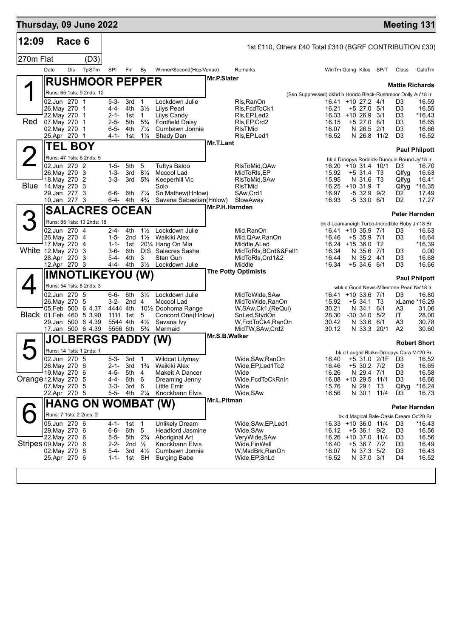| Thursday, 09 June 2022 |                                |        |                                               |                        |                                                                  |                                  |                                                                    |                |                                                         |                                                                      |                            |            |                                                | <b>Meeting 131</b>          |
|------------------------|--------------------------------|--------|-----------------------------------------------|------------------------|------------------------------------------------------------------|----------------------------------|--------------------------------------------------------------------|----------------|---------------------------------------------------------|----------------------------------------------------------------------|----------------------------|------------|------------------------------------------------|-----------------------------|
| 12:09                  |                                | Race 6 |                                               |                        |                                                                  |                                  |                                                                    |                | 1st £110, Others £40 Total £310 (BGRF CONTRIBUTION £30) |                                                                      |                            |            |                                                |                             |
| 270m Flat              |                                |        | (D3)                                          |                        |                                                                  |                                  |                                                                    |                |                                                         |                                                                      |                            |            |                                                |                             |
|                        | Date                           | Dis    | TpSTm                                         | <b>SPI</b>             | Fin By                                                           |                                  | Winner/Second(Hcp/Venue)                                           |                | Remarks                                                 | WinTm Going Kilos SP/T                                               |                            |            | Class                                          | CalcTm                      |
|                        |                                |        | <b>RUSHMOOR PEPPER</b>                        |                        |                                                                  |                                  |                                                                    | Mr.P.Slater    |                                                         |                                                                      |                            |            | <b>Mattie Richards</b>                         |                             |
|                        |                                |        | Runs: 65 1sts: 9 2nds: 12                     |                        |                                                                  |                                  |                                                                    |                |                                                         | (Ssn Suppressed) dkbd b Hondo Black-Rushmoor Dolly Au'18 Ir          |                            |            |                                                |                             |
|                        | 02.Jun 270 1                   |        |                                               | $5 - 3 -$              | 3rd                                                              | $\overline{1}$                   | Lockdown Julie                                                     |                | Rls, RanOn                                              | 16.41 +10 27.2 4/1                                                   |                            |            | D3                                             | 16.59                       |
|                        | 26. May 270 1<br>22. May 270 1 |        |                                               | 4-4-                   | 4th<br>2-1- 1st                                                  | $3\frac{1}{2}$<br>1              | <b>Lilys Pearl</b><br>Lilys Candy                                  |                | RIs, FcdToCk1<br>RIs,EP,Led2                            | 16.21<br>16.33 +10 26.9 3/1                                          | $+5$ 27.0 $5/1$            |            | D3<br>D3                                       | 16.55<br>*16.43             |
| Red.                   | 07. May 270 1                  |        |                                               | $2 - 5 -$              | 5th                                                              | $5\frac{3}{4}$                   | <b>Footfield Daisy</b>                                             |                | RIs, EP, Crd2                                           | 16.15                                                                | +5 27.0 8/1                |            | D3                                             | 16.65                       |
|                        | 02. May 270 1<br>25.Apr 270 1  |        |                                               | $6 - 5 -$<br>4-1-      | 4th<br>1st                                                       | $7\frac{1}{4}$<br>$1\frac{1}{4}$ | Cumbawn Jonnie<br>Shady Dan                                        |                | <b>RIsTMid</b><br>RIs, EP, Led1                         | 16.07<br>16.52                                                       | N 26.5<br>N 26.8 11/2      | 2/1        | D3<br>D <sub>3</sub>                           | 16.66<br>16.52              |
|                        |                                |        | TEL BOY                                       |                        |                                                                  |                                  |                                                                    | Mr.T.Lant      |                                                         |                                                                      |                            |            |                                                |                             |
|                        |                                |        | Runs: 47 1sts: 6 2nds: 5                      |                        |                                                                  |                                  |                                                                    |                |                                                         |                                                                      |                            |            | bk d Droopys Roddick-Dunquin Bound Jy'18 Ir    | <b>Paul Philpott</b>        |
|                        | 02.Jun 270 2                   |        |                                               | 1-5-                   | 5th                                                              | 5                                | <b>Tuftys Baloo</b>                                                |                | RIsToMid, QAw                                           | 16.20 +10 31.4 10/1                                                  |                            |            | D3                                             | 16.70                       |
|                        | 26. May 270 3<br>18. May 270 2 |        |                                               | $1 - 3 -$<br>$3 - 3 -$ | 3rd<br>3rd                                                       | $8\frac{1}{4}$<br>$5\frac{3}{4}$ | Mccool Lad<br>Keeperhill Vic                                       |                | MidToRIs, EP<br>RIsToMid, SAw                           | 15.92<br>15.95                                                       | $+531.4$ T3<br>N 31.6 T3   |            | Qlfyg<br>Qlfyg                                 | 16.63<br>16.41              |
| <b>Blue</b>            | 14.May 270 3                   |        |                                               |                        |                                                                  |                                  | Solo                                                               |                | <b>RIsTMid</b>                                          | $16.25 + 10.31.9$                                                    |                            | $\top$     | Qlfyg                                          | *16.35                      |
|                        | 29.Jan 277 3<br>10.Jan 277 3   |        |                                               | 6-6-                   | 6th<br>6-4- 4th                                                  | $7\frac{1}{4}$<br>$4\frac{3}{4}$ | So Mathew(Hnlow)<br>Savana Sebastian(Hnlow)                        |                | SAw,Crd1<br>SlowAway                                    | 16.97<br>16.93                                                       | -5 32.9 9/2<br>$-533.06/1$ |            | D2<br>D2                                       | 17.49<br>17.27              |
|                        |                                |        | <b>SALACRES OCEAN</b>                         |                        |                                                                  |                                  |                                                                    | Mr.P.H.Harnden |                                                         |                                                                      |                            |            |                                                |                             |
| 3                      |                                |        | Runs: 85 1sts: 13 2nds: 18                    |                        |                                                                  |                                  |                                                                    |                |                                                         |                                                                      |                            |            |                                                | <b>Peter Harnden</b>        |
|                        | 02.Jun 270 4                   |        |                                               | 2-4-                   | 4th                                                              | $1\frac{1}{2}$                   | Lockdown Julie                                                     |                | Mid, RanOn                                              | bk d Leamaneigh Turbo-Incredible Ruby Jn'18 Br<br>16.41 +10 35.9 7/1 |                            |            | D3                                             | 16.63                       |
|                        | 26. May 270 4                  |        |                                               | $1 - 5 -$              | 2nd $1\frac{1}{2}$                                               |                                  | Waikiki Alex                                                       |                | Mid, QAw, RanOn                                         | 16.46                                                                | $+535.97/1$                |            | D3                                             | 16.64                       |
| White 12. May 270 3    | 17. May 270 4                  |        |                                               | 3-6-                   | $1 - 1 - 1$ st<br>6th                                            |                                  | 201/4 Hang On Mia<br>DIS Salacres Sasha                            |                | Middle,ALed<br>MidToRIs, BCrd&&Fell1                    | 16.24 +15 36.0 T2<br>16.34                                           | N 35.6 7/1                 |            | D3                                             | *16.39<br>0.00              |
|                        | 28.Apr 270 3                   |        |                                               | 5-4-                   | 4th                                                              | 3                                | Sten Gun                                                           |                | MidToRIs, Crd1&2                                        | 16.44                                                                | N 35.2 4/1                 |            | D3                                             | 16.68                       |
|                        | 12.Apr 270 3                   |        | <b>IMNOTLIKEYOU (W)</b>                       |                        | 4-4- 4th                                                         | $3\frac{1}{2}$                   | Lockdown Julie                                                     |                | Middle<br><b>The Potty Optimists</b>                    | 16.34                                                                | $+5$ 34.6 6/1              |            | D3                                             | 16.66                       |
|                        |                                |        | Runs: 54 1sts: 8 2nds: 3                      |                        |                                                                  |                                  |                                                                    |                |                                                         |                                                                      |                            |            |                                                | <b>Paul Philpott</b>        |
|                        | 02.Jun 270 5                   |        |                                               | 6-6-                   | 6th                                                              | $3\frac{1}{2}$                   | Lockdown Julie                                                     |                | MidToWide, SAw                                          | 16.41 +10 33.6 7/1                                                   |                            |            | wbk d Good News-Milestone Pearl Nv'18 Ir<br>D3 | 16.80                       |
|                        | 26. May 270 5                  |        |                                               |                        | 3-2- 2nd 4                                                       |                                  | Mccool Lad                                                         |                | MidToWide, RanOn                                        | 15.92                                                                | $+5$ 34.1                  | T3         |                                                | xLame *16.29                |
|                        |                                |        | 05.Feb 500 6 4.37<br>Black 01. Feb 460 5 3.90 | 1111                   | 4444 4th<br>1st                                                  | 5                                | 10 <sup>1</sup> / <sub>2</sub> Doohoma Range<br>Concord One(Hnlow) |                | W,SAw,Ck1,(ReQul)<br>SnLed,StydOn                       | 30.21<br>28.30                                                       | N 34.1<br>-30 34.0         | 6/1<br>5/2 | A3<br>IT                                       | 31.06<br>28.00              |
|                        |                                |        | 29.Jan 500 6 4.39                             | 5544 4th               |                                                                  | $4\frac{1}{2}$                   | Savana Ivy                                                         |                | W,FcdToCk4,RanOn                                        | 30.42                                                                | N 33.6 6/1                 |            | A3                                             | 30.78                       |
|                        |                                |        | 17.Jan 500 6 4.39                             |                        | 5566 6th                                                         | $5\frac{3}{4}$                   | Mermaid                                                            | Mr.S.B.Walker  | MidTW, SAw, Crd2                                        | 30.12                                                                | N 33.3 20/1                |            | A2                                             | 30.60                       |
|                        |                                |        | <b>JOLBERGS PADDY (W)</b>                     |                        |                                                                  |                                  |                                                                    |                |                                                         |                                                                      |                            |            |                                                | <b>Robert Short</b>         |
|                        | 02.Jun 270 5                   |        | Runs: 14 1sts: 1 2nds: 1                      | $5 - 3 -$              | 3rd                                                              | 1                                | Wildcat Lilymay                                                    |                | Wide, SAw, RanOn                                        |                                                                      |                            |            | bk d Laughil Blake-Droopys Cara Mr'20 Br       | 16.40 +5 31.0 2/1F D3 16.52 |
|                        | 26.May 270 6                   |        |                                               | $2 - 1 -$              | 3rd                                                              | $1\frac{3}{4}$                   | Waikiki Alex                                                       |                | Wide, EP, Led 1 To 2                                    | 16.46                                                                | +5 30.2 7/2                |            | D3                                             | 16.65                       |
| Orange 12. May 270 5   | 19. May 270 6                  |        |                                               | 4-5-<br>4-4-           | 5th<br>6th                                                       | 4<br>6                           | Makeit A Dancer<br>Dreaming Jenny                                  |                | Wide<br>Wide, FcdToCkRnIn                               | 16.26<br>16.08 +10 29.5 11/1                                         | N 29.4 7/1                 |            | D3<br>D3                                       | 16.58<br>16.66              |
|                        | 07. May 270 5                  |        |                                               | 3-3-                   | 3rd                                                              | 6                                | Little Emir                                                        |                | Wide                                                    | 15.76                                                                | N 29.1 T3                  |            | Qlfyg                                          | $*16.24$                    |
|                        | 22.Apr 270 5                   |        |                                               |                        | 5-5- 4th 21/4                                                    |                                  | Knockbann Elvis                                                    | Mr.L.Pitman    | Wide, SAw                                               | 16.56                                                                | N 30.1 11/4                |            | D3                                             | 16.73                       |
|                        |                                |        | <b>HANG ON WOMBAT (W)</b>                     |                        |                                                                  |                                  |                                                                    |                |                                                         |                                                                      |                            |            |                                                | Peter Harnden               |
|                        | 05.Jun 270 6                   |        | Runs: 7 1sts: 2 2nds: 2                       |                        | 4-1- 1st 1                                                       |                                  | <b>Unlikely Dream</b>                                              |                | Wide,SAw,EP,Led1                                        | 16.33 +10 36.0 11/4                                                  |                            |            | bk d Magical Bale-Oasis Dream Oc'20 Br<br>D3   | *16.43                      |
|                        | 29. May 270 6                  |        |                                               | 6-6-                   | 6th 5                                                            |                                  | Headford Jasmine                                                   |                | Wide,SAw                                                | 16.12                                                                | +5 36.1 9/2                |            | D3                                             | 16.56                       |
| Stripes 09. May 270 6  | 22. May 270 6                  |        |                                               |                        | 5-5- 5th 2 <sup>3</sup> / <sub>4</sub><br>2-2- 2nd $\frac{1}{2}$ |                                  | Aboriginal Art                                                     |                | VeryWide, SAw<br>Wide,FinWell                           | 16.26 +10 37.0 11/4                                                  |                            |            | D3<br>D3                                       | 16.56                       |
|                        | 02.May 270 6                   |        |                                               | 5-4-                   |                                                                  | 3rd $4\frac{1}{2}$               | Knockbann Elvis<br>Cumbawn Jonnie                                  |                | W,MsdBrk,RanOn                                          | 16.40<br>16.07                                                       | +5 36.7 7/2<br>N 37.3 5/2  |            | D3                                             | 16.49<br>16.43              |
|                        | 25.Apr 270 6                   |        |                                               | 1-1-                   | 1st SH                                                           |                                  | <b>Surging Babe</b>                                                |                | Wide, EP, SnLd                                          | 16.52                                                                | N 37.0 3/1                 |            | D4                                             | 16.52                       |
|                        |                                |        |                                               |                        |                                                                  |                                  |                                                                    |                |                                                         |                                                                      |                            |            |                                                |                             |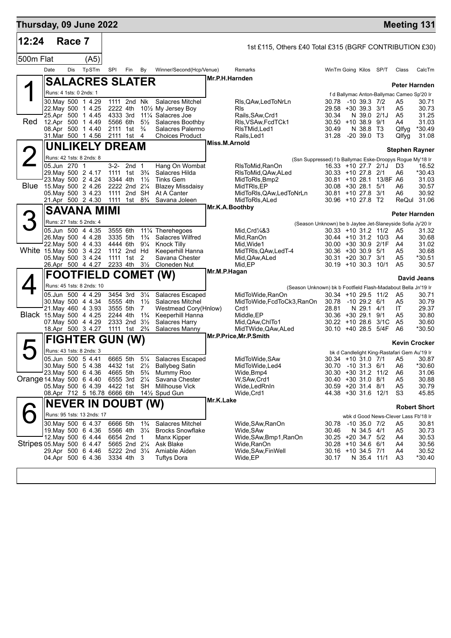| Thursday, 09 June 2022     |                         |        |                                          |          |                                        |                                  |                                                                                |                |                                                                                  |                                                            |                  |                         |                                              | <b>Meeting 131</b>  |
|----------------------------|-------------------------|--------|------------------------------------------|----------|----------------------------------------|----------------------------------|--------------------------------------------------------------------------------|----------------|----------------------------------------------------------------------------------|------------------------------------------------------------|------------------|-------------------------|----------------------------------------------|---------------------|
| 12:24                      |                         | Race 7 |                                          |          |                                        |                                  |                                                                                |                | 1st £115, Others £40 Total £315 (BGRF CONTRIBUTION £30)                          |                                                            |                  |                         |                                              |                     |
| 500m Flat                  |                         |        | (A5)                                     |          |                                        |                                  |                                                                                |                |                                                                                  |                                                            |                  |                         |                                              |                     |
|                            | Date                    | Dis    | TpSTm                                    | SPI      | Fin By                                 |                                  | Winner/Second(Hcp/Venue)                                                       |                | Remarks                                                                          | WinTm Going Kilos SP/T                                     |                  |                         | Class                                        | CalcTm              |
|                            |                         |        | <b>SALACRES SLATER</b>                   |          |                                        |                                  |                                                                                | Mr.P.H.Harnden |                                                                                  |                                                            |                  |                         |                                              |                     |
|                            | Runs: 4 1sts: 0 2nds: 1 |        |                                          |          |                                        |                                  |                                                                                |                |                                                                                  |                                                            |                  |                         | f d Ballymac Anton-Ballymac Cameo Sp'20 Ir   | Peter Harnden       |
|                            |                         |        | 30. May 500 1 4.29                       |          | 1111 2nd Nk                            |                                  | Salacres Mitchel                                                               |                | RIs, QAw, Led ToNrLn                                                             | 30.78 -10 39.3 7/2                                         |                  |                         | A5                                           | 30.71               |
|                            |                         |        | 22. May 500 1 4.25<br>25.Apr 500 1 4.45  |          | 2222 4th<br>4333 3rd                   |                                  | 101/ <sub>2</sub> My Jersey Boy<br>11 <sup>1</sup> / <sub>4</sub> Salacres Joe |                | <b>R</b> ls<br>Rails, SAw, Crd1                                                  | 29.58 +30 39.3 3/1<br>30.34                                | N 39.0 2/1J      |                         | A5<br>A <sub>5</sub>                         | 30.73<br>31.25      |
| <b>Red</b>                 |                         |        | 12.Apr 500 1 4.49                        |          | 5566 6th                               |                                  | 5 <sup>1/2</sup> Salacres Boothby                                              |                | RIs, VSAw, FcdTCk1                                                               | $30.50 + 10.38.9$ 9/1                                      |                  |                         | A4                                           | 31.03               |
|                            |                         |        | 08.Apr 500 1 4.40                        |          | 2111 1st                               | $\frac{3}{4}$                    | Salacres Palermo                                                               |                | RIsTMid, Led1                                                                    | 30.49                                                      | N 38.8 T3        |                         | Qlfyg                                        | *30.49              |
|                            |                         |        | 31.Mar 500 1 4.56                        |          | 2111 1st 4                             |                                  | <b>Choices Product</b>                                                         | Miss.M.Arnold  | Rails, Led1                                                                      | 31.28 -20 39.0 T3                                          |                  |                         | Qlfyg                                        | 31.08               |
|                            |                         |        | <b>UNLIKELY DREAM</b>                    |          |                                        |                                  |                                                                                |                |                                                                                  |                                                            |                  |                         | <b>Stephen Rayner</b>                        |                     |
|                            | 05.Jun 270 1            |        | Runs: 42 1sts: 8 2nds: 8                 |          | 3-2- 2nd 1                             |                                  | Hang On Wombat                                                                 |                | (Ssn Suppressed) f b Ballymac Eske-Droopys Rogue My'18 Ir<br>RIsToMid, RanOn     |                                                            |                  | 16.33 +10 27.7 2/1J D3  |                                              | 16.52               |
|                            |                         |        | 29. May 500 2 4.17                       |          | 1111 1st 3 <sup>3</sup> / <sub>4</sub> |                                  | Salacres Hilda                                                                 |                | RIsToMid, QAw, ALed                                                              | 30.33 +10 27.8 2/1                                         |                  |                         | A6                                           | *30.43              |
| Blue                       |                         |        | 23. May 500 2 4.24                       |          | 3344 4th                               | $1\frac{1}{2}$                   | <b>Tinks Gem</b>                                                               |                | MidToRIs, Bmp2                                                                   |                                                            |                  | 30.81 +10 28.1 13/8F A6 |                                              | 31.03               |
|                            |                         |        | 15. May 500 2 4.26<br>05. May 500 3 4.23 |          | 2222 2nd 21/4<br>1111 2nd              | <b>SH</b>                        | <b>Blazey Missdaisy</b><br>At A Canter                                         |                | MidTRIs, EP<br>MidToRIs, QAw, LedToNrLn                                          | $30.08 + 30.28.1$ 5/1<br>30.81 +10 27.8 3/1                |                  |                         | A6<br>A6                                     | 30.57<br>30.92      |
|                            |                         |        | 21.Apr 500 2 4.30                        |          | 1111 1st 8 <sup>3</sup> / <sub>4</sub> |                                  | Savana Joleen                                                                  |                | MidToRIs, ALed                                                                   | 30.96 +10 27.8 T2                                          |                  |                         |                                              | ReQul 31.06         |
|                            |                         |        | <b>SAVANA MIMI</b>                       |          |                                        |                                  |                                                                                | Mr.K.A.Boothby |                                                                                  |                                                            |                  |                         |                                              | Peter Harnden       |
|                            |                         |        | Runs: 27 1sts: 5 2nds: 4                 |          |                                        |                                  |                                                                                |                |                                                                                  | (Season Unknown) be b Jaytee Jet-Slaneyside Sofia Jy'20 Ir |                  |                         |                                              |                     |
|                            |                         |        | 05.Jun 500 4 4.35                        | 3555 6th |                                        |                                  | 111⁄4 Therehegoes                                                              |                | Mid, Crd1/4&3                                                                    | $30.33 + 10.31.2$ 11/2                                     |                  |                         | A5                                           | 31.32               |
|                            |                         |        | 26. May 500 4 4.28<br>22. May 500 4 4.33 |          | 3335 5th<br>4444 6th                   | $1\frac{3}{4}$<br>$9\frac{1}{4}$ | Salacres Wilfred<br><b>Knock Tilly</b>                                         |                | Mid,RanOn<br>Mid, Wide1                                                          | $30.44 + 10.31.2$ 10/3<br>30.00 +30 30.9 2/1F              |                  |                         | A4<br>A4                                     | 30.68<br>31.02      |
| White 15.May 500 3 4.22    |                         |        |                                          |          | 1112 2nd Hd                            |                                  | Keeperhill Hanna                                                               |                | MidTRIs, QAw, Led T-4                                                            | $30.36 + 30.30.9$ 5/1                                      |                  |                         | A5                                           | 30.68               |
|                            |                         |        | 05. May 500 3 4.24<br>26.Apr 500 4 4.27  |          | 1111 1st<br>2233 4th 31/2              | 2                                | Savana Chester<br>Cloneden Nut                                                 |                | Mid, QAw, ALed<br>Mid, EP                                                        | $30.31 + 20.30.7$ 3/1<br>$30.19 + 1030.3110/1$             |                  |                         | A5<br>A <sub>5</sub>                         | *30.51<br>30.57     |
|                            |                         |        |                                          |          |                                        |                                  | <b>FOOTFIELD COMET (W)</b>                                                     | Mr.M.P.Hagan   |                                                                                  |                                                            |                  |                         |                                              |                     |
|                            |                         |        | Runs: 45 1sts: 8 2nds: 10                |          |                                        |                                  |                                                                                |                |                                                                                  |                                                            |                  |                         |                                              | David Jeans         |
|                            |                         |        | 05.Jun 500 4 4.29                        |          | 3454 3rd                               | $3\frac{1}{4}$                   | Salacres Escaped                                                               |                | (Season Unknown) bk b Footfield Flash-Madabout Bella Jn'19 Ir<br>MidToWide,RanOn | 30.34 +10 29.5 11/2                                        |                  |                         | A5                                           | 30.71               |
|                            |                         |        | 30. May 500 4 4.34                       |          | 5555 4th                               | $1\frac{1}{2}$                   | <b>Salacres Mitchel</b>                                                        |                | MidToWide,FcdToCk3,RanOn                                                         | 30.78                                                      | -10 29.2 6/1     |                         | A <sub>5</sub>                               | 30.79               |
| Black 15. May 500 4 4.25   |                         |        | 21. May 460 4 3.93                       |          | 3555 5th<br>2244 4th                   | 7<br>$1\frac{3}{4}$              | Westmead Cory(Hnlow)<br>Keeperhill Hanna                                       |                | Crd1<br>Middle, EP                                                               | 28.81<br>$30.36 + 30.29.1$                                 | N 29.1 4/1       | 9/1                     | IT<br>A5                                     | 29.37<br>30.80      |
|                            |                         |        | 07 May 500 4 4.29                        |          | 2333 2nd 31/2                          |                                  | Salacres Harry                                                                 |                | Mid, QAw, ChITo1                                                                 | 30.22 +10 28.6 3/1C                                        |                  |                         | A <sub>5</sub>                               | 30.60               |
|                            |                         |        | 18.Apr 500 3 4.27                        |          | 1111 1st 2 <sup>3</sup> / <sub>4</sub> |                                  | Salacres Manny                                                                 |                | MidTWide, QAw, ALed                                                              | 30.10 +40 28.5 5/4F                                        |                  |                         | A6                                           | *30.50              |
|                            |                         |        | <b>FIGHTER GUN</b>                       |          | (W)                                    |                                  |                                                                                |                | Mr.P.Price, Mr.P.Smith                                                           |                                                            |                  |                         | <b>Kevin Crocker</b>                         |                     |
|                            |                         |        | Runs: 43 1sts: 8 2nds: 3                 |          |                                        |                                  |                                                                                |                |                                                                                  |                                                            |                  |                         | bk d Candlelight King-Rastafari Gem Au'19 Ir |                     |
|                            |                         |        | 05.Jun 500 5 4.41<br>30. May 500 5 4.38  |          |                                        |                                  | 6665 5th 51/4 Salacres Escaped<br>4432 1st 21/ <sub>2</sub> Ballybeg Satin     |                | MidToWide, SAw<br>MidToWide, Led4                                                | 30.70                                                      | $-10$ 31.3 6/1   |                         | 30.34 +10 31.0 7/1 A5<br>A <sub>6</sub>      | 30.87<br>*30.60     |
|                            |                         |        | 23. May 500 6 4.36                       |          | 4665 5th                               | $5\frac{3}{4}$                   | Mummy Roo                                                                      |                | Wide, Bmp4                                                                       | 30.30 +30 31.2 11/2                                        |                  |                         | A6                                           | 31.06               |
| Orange 14 May 500 6 4.40   |                         |        |                                          |          | 6555 3rd                               | $2\frac{1}{4}$                   | Savana Chester                                                                 |                | W,SAw,Crd1                                                                       | 30.40 +30 31.0 8/1                                         |                  |                         | A5                                           | 30.88               |
|                            |                         |        | 05. May 500 6 4.39                       |          | 4422 1st SH                            |                                  | <b>Millhouse Vick</b><br>08.Apr 712 5 16.78 6666 6th 141/2 Spud Gun            |                | Wide,LedRnIn<br>Wide, Crd1                                                       | 30.59 +20 31.4 8/1<br>44.38 +30 31.6 12/1                  |                  |                         | A5<br>S3                                     | 30.79<br>45.85      |
|                            |                         |        | <b>NEVER IN DOUBT (W)</b>                |          |                                        |                                  |                                                                                | Mr.K.Lake      |                                                                                  |                                                            |                  |                         |                                              |                     |
|                            |                         |        | Runs: 95 1sts: 13 2nds: 17               |          |                                        |                                  |                                                                                |                |                                                                                  |                                                            |                  |                         |                                              | <b>Robert Short</b> |
|                            |                         |        | 30. May 500 6 4.37                       |          | 6666 5th                               | $1\frac{3}{4}$                   | Salacres Mitchel                                                               |                | Wide, SAw, RanOn                                                                 | 30.78                                                      | $-10$ 35.0 $7/2$ |                         | wbk d Good News-Clever Lass Fb'18 Ir<br>A5   | 30.81               |
|                            |                         |        | 19 May 500 6 4.36                        |          | 5566 4th                               | $3\frac{1}{4}$                   | <b>Brocks Snowflake</b>                                                        |                | Wide, SAw                                                                        | 30.46                                                      | N 34.5 4/1       |                         | A5                                           | 30.73               |
| Stripes 05. May 500 6 4.47 |                         |        | 12. May 500 6 4.44                       |          | 6654 2nd<br>5665 2nd 21/4              | $\overline{1}$                   | Manx Kipper<br>Ask Blake                                                       |                | Wide, SAw, Bmp1, RanOn<br>Wide,RanOn                                             | 30.25 +20 34.7 5/2<br>$30.28 + 10.34.6$                    |                  | 6/1                     | A4<br>A4                                     | 30.53<br>30.56      |
|                            |                         |        | 29.Apr 500 6 4.46                        |          | 5222 2nd 31/4                          |                                  | Amiable Aiden                                                                  |                | Wide, SAw, Fin Well                                                              | 30.16 +10 34.5 7/1                                         |                  |                         | A4                                           | 30.52               |
|                            |                         |        | 04.Apr 500 6 4.36                        |          | 3334 4th 3                             |                                  | Tuftys Dora                                                                    |                | Wide, EP                                                                         | 30.17                                                      | N 35.4 11/1      |                         | A <sub>3</sub>                               | *30.40              |
|                            |                         |        |                                          |          |                                        |                                  |                                                                                |                |                                                                                  |                                                            |                  |                         |                                              |                     |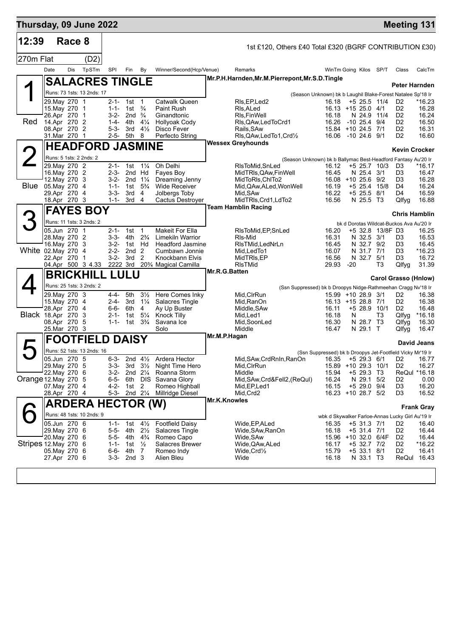| Thursday, 09 June 2022    |                                |        |                            |                        |                                        |                                  |                                                   |               |                                                                                  |                                                                                 |       |                              |                  | <b>Meeting 131</b>                       |                      |
|---------------------------|--------------------------------|--------|----------------------------|------------------------|----------------------------------------|----------------------------------|---------------------------------------------------|---------------|----------------------------------------------------------------------------------|---------------------------------------------------------------------------------|-------|------------------------------|------------------|------------------------------------------|----------------------|
| 12:39                     |                                | Race 8 |                            |                        |                                        |                                  |                                                   |               | 1st £120, Others £40 Total £320 (BGRF CONTRIBUTION £30)                          |                                                                                 |       |                              |                  |                                          |                      |
| 270m Flat                 |                                |        | (D2)                       |                        |                                        |                                  |                                                   |               |                                                                                  |                                                                                 |       |                              |                  |                                          |                      |
|                           | Date                           | Dis    | TpSTm                      | SPI                    | Fin                                    | By                               | Winner/Second(Hcp/Venue)                          |               | Remarks                                                                          | WinTm Going Kilos SP/T                                                          |       |                              |                  | Class                                    | CalcTm               |
|                           |                                |        | <b>SALACRES TINGLE</b>     |                        |                                        |                                  |                                                   |               | Mr.P.H.Harnden, Mr.M.Pierrepont, Mr.S.D.Tingle                                   |                                                                                 |       |                              |                  | Peter Harnden                            |                      |
|                           |                                |        | Runs: 73 1sts: 13 2nds: 17 |                        |                                        |                                  |                                                   |               |                                                                                  | (Season Unknown) bk b Laughil Blake-Forest Natalee Sp'18 Ir                     |       |                              |                  |                                          |                      |
|                           | 29. May 270 1                  |        |                            |                        | 2-1- 1st 1                             |                                  | Catwalk Queen                                     |               | RIs, EP, Led <sub>2</sub>                                                        | 16.18                                                                           |       |                              | $+5$ 25.5 11/4   | D <sub>2</sub>                           | *16.23               |
|                           | 15. May 270 1<br>26.Apr 270 1  |        |                            |                        | 1-1- 1st<br>3-2- 2nd $\frac{3}{4}$     | $\frac{3}{4}$                    | <b>Paint Rush</b><br>Ginandtonic                  |               | RIs, ALed<br>RIs, Fin Well                                                       | $16.13 + 1525.04/1$<br>16.18                                                    |       | N 24.9                       | 11/4             | D <sub>2</sub><br>D <sub>2</sub>         | 16.28<br>16.24       |
| Red                       | 14.Apr 270 2                   |        |                            |                        | 1-4- 4th                               | $4\frac{1}{4}$                   | <b>Hollyoak Cody</b>                              |               | Rls, QAw, Led To Crd1                                                            | 16.26                                                                           |       | -10 25.4 9/4                 |                  | D <sub>2</sub>                           | 16.50                |
|                           | 08.Apr 270 2<br>31.Mar 270 1   |        |                            | $5 - 3 -$<br>2-5-      | 3rd<br>5th 8                           | $4\frac{1}{2}$                   | Disco Fever<br>Perfecto String                    |               | Rails, SAw<br>RIs, QAw, Led To 1, Crd 1/2                                        | 15.84 +10 24.5 7/1<br>16.06 -10 24.6 9/1                                        |       |                              |                  | D <sub>2</sub><br>D <sub>2</sub>         | 16.31<br>16.60       |
|                           |                                |        | <b>HEADFORD JASMINE</b>    |                        |                                        |                                  |                                                   |               | <b>Wessex Greyhounds</b>                                                         |                                                                                 |       |                              |                  |                                          |                      |
|                           |                                |        | Runs: 5 1sts: 2 2nds: 2    |                        |                                        |                                  |                                                   |               |                                                                                  |                                                                                 |       |                              |                  | Kevin Crocker                            |                      |
|                           | 29. May 270 2                  |        |                            | $2 - 1 -$              | 1st                                    | $1\frac{1}{4}$                   | Oh Delhi                                          |               | (Season Unknown) bk b Ballymac Best-Headford Fantasy Au'20 Ir<br>RIsToMid, SnLed | 16.12                                                                           |       |                              | $+5$ 25.7 10/3   | D3                                       | *16.17               |
|                           | 16. May 270 2                  |        |                            | $2 - 3 -$              | 2nd Hd                                 |                                  | Fayes Boy                                         |               | MidTRIs, QAw, FinWell                                                            | 16.45                                                                           |       | N 25.4 3/1                   |                  | D <sub>3</sub>                           | 16.47                |
| Blue                      | 12. May 270 3<br>05. May 270 4 |        |                            | 3-2-<br>$1 - 1 -$      | 2nd $1\frac{1}{4}$<br>1st              | $5\frac{3}{4}$                   | Dreaming Jenny<br><b>Wide Receiver</b>            |               | MidToRIs, ChITo2<br>Mid, QAw, ALed, Won Well                                     | 16.08 +10 25.6 9/2<br>16.19                                                     |       |                              | $+5$ 25.4 15/8   | D <sub>3</sub><br>D4                     | 16.28<br>16.24       |
|                           | 29.Apr 270 4                   |        |                            | $3 - 3 -$              | 3rd                                    | 4                                | Jolbergs Toby                                     |               | Mid, SAw                                                                         | 16.22                                                                           |       | $+5$ 25.5                    | 8/1              | D4                                       | 16.59                |
|                           | 18.Apr 270 3                   |        |                            | $1 - 1 -$              | 3rd 4                                  |                                  | Cactus Destroyer                                  |               | MidTRIs, Crd1, LdTo2<br><b>Team Hamblin Racing</b>                               | 16.56                                                                           |       | N 25.5 T3                    |                  | Qlfyg                                    | 16.88                |
|                           |                                |        | <b>FAYES BOY</b>           |                        |                                        |                                  |                                                   |               |                                                                                  |                                                                                 |       |                              |                  | <b>Chris Hamblin</b>                     |                      |
| З                         |                                |        | Runs: 11 1sts: 3 2nds: 2   |                        |                                        |                                  |                                                   |               |                                                                                  |                                                                                 |       |                              |                  | bk d Dorotas Wildcat-Buckos Ava Au'20 Ir |                      |
|                           | 05.Jun 270 1<br>28. May 270 2  |        |                            |                        | 2-1- 1st<br>3-3- 4th                   | $\overline{1}$<br>$2\frac{3}{4}$ | <b>Makeit For Ella</b><br><b>Limekiln Warrior</b> |               | RIsToMid, EP, SnLed<br>RIs-Mid                                                   | 16.20<br>16.31                                                                  |       | N 32.5 3/1                   | +5 32.8 13/8F D3 | D3                                       | 16.25<br>16.53       |
|                           | 16. May 270 3                  |        |                            | 3-2-                   | 1st Hd                                 |                                  | <b>Headford Jasmine</b>                           |               | RIsTMid, LedNrLn                                                                 | 16.45                                                                           |       | N 32.7 9/2                   |                  | D3                                       | 16.45                |
| White 02. May 270 4       |                                |        | -1                         | $2 - 2 -$<br>$3 - 2 -$ | 2nd <sub>2</sub><br>3rd                | 2                                | Cumbawn Jonnie<br>Knockbann Elvis                 |               | Mid,LedTo1<br>MidTRIs, EP                                                        | 16.07<br>16.56                                                                  |       | N 31.7 7/1<br>N 32.7 5/1     |                  | D <sub>3</sub><br>D3                     | $*16.23$<br>16.72    |
|                           | 22.Apr 270                     |        | 04.Apr 500 3 4.33          |                        |                                        |                                  | 2222 3rd 20% Magical Camilla                      |               | <b>RIsTMid</b>                                                                   | 29.93                                                                           | $-20$ |                              | T3               | Qlfyg                                    | 31.39                |
|                           |                                |        | <b>BRICKHILL LULU</b>      |                        |                                        |                                  |                                                   | Mr.R.G.Batten |                                                                                  |                                                                                 |       |                              |                  | <b>Carol Grasso (Hnlow)</b>              |                      |
|                           |                                |        | Runs: 25 1sts: 3 2nds: 2   |                        |                                        |                                  |                                                   |               | (Ssn Suppressed) bk b Droopys Nidge-Rathmeehan Cragg Nv'18 Ir                    |                                                                                 |       |                              |                  |                                          |                      |
|                           | 29.May 270 3                   |        |                            | 4-4-                   | 5th                                    | $3\frac{1}{2}$                   | Here Comes Inky                                   |               | Mid, CIrRun                                                                      | 15.99 +10 28.9 3/1                                                              |       |                              |                  | D <sub>2</sub>                           | 16.38                |
|                           | 15. May 270 4<br>28.Apr 270 4  |        |                            | 2-4-                   | 3rd<br>6-6- 6th                        | $1\frac{1}{4}$<br>4              | <b>Salacres Tingle</b><br>Ay Up Buster            |               | Mid, RanOn<br>Middle, SAw                                                        | 16.13 +15 28.8 7/1<br>16.11                                                     |       |                              | $+5$ 28.9 10/1   | D <sub>2</sub><br>D <sub>2</sub>         | 16.38<br>16.48       |
| <b>Black 18.Apr 270 3</b> |                                |        |                            | 2-1-                   | 1st $5\frac{1}{4}$                     |                                  | Knock Tilly                                       |               | Mid,Led1                                                                         | 16.18                                                                           | N     |                              | T3               | Qlfyg                                    | *16.18               |
|                           | 08.Apr 270 5<br>25.Mar 270 3   |        |                            | $1 - 1 -$              | 1st $3\frac{3}{4}$                     |                                  | Savana Ice<br>Solo                                |               | Mid, SoonLed<br>Middle                                                           | 16.30<br>16.47                                                                  |       | N 28.7 T3<br>N 29.1 T        |                  | Qlfyg<br>Qlfyg                           | 16.30<br>16.47       |
|                           |                                |        | <b>FOOTFIELD DAISY</b>     |                        |                                        |                                  |                                                   | Mr.M.P.Hagan  |                                                                                  |                                                                                 |       |                              |                  |                                          |                      |
|                           |                                |        | Runs: 52 1sts: 13 2nds: 16 |                        |                                        |                                  |                                                   |               |                                                                                  |                                                                                 |       |                              |                  |                                          | David Jeans          |
|                           | 05.Jun 270 5                   |        |                            | $6 - 3 -$              |                                        | 2nd $4\frac{1}{2}$               | Ardera Hector                                     |               | Mid, SAw, CrdRnIn, RanOn                                                         | (Ssn Suppressed) bk b Droopys Jet-Footfield Vicky Mr'19 Ir<br>16.35 +5 29.3 6/1 |       |                              |                  | D <sub>2</sub>                           | 16.77                |
|                           | 29. May 270 5                  |        |                            | 3-3-                   |                                        |                                  | 3rd 3 <sup>1</sup> / <sub>2</sub> Night Time Hero |               | Mid, CIrRun                                                                      | 15.89 +10 29.3 10/1                                                             |       |                              |                  | D <sub>2</sub>                           | 16.27                |
| Orange 12. May 270 5      | 22. May 270 6                  |        |                            | 3-2-<br>$6 - 5 -$      |                                        | 2nd $2\frac{1}{4}$               | Roanna Storm<br>6th DIS Savana Glory              |               | Middle<br>Mid, SAw, Crd&Fell2, (ReQul)                                           | 15.94<br>16.24                                                                  |       | +5 29.3 T3<br>N 29.1 5/2     |                  | D <sub>2</sub>                           | ReQul *16.18<br>0.00 |
|                           | 07.May 270 4                   |        |                            | 4-2-                   | 1st 2                                  |                                  | Romeo Highball                                    |               | Mid, EP, Led 1                                                                   | 16.15                                                                           |       | +5 29.0 9/4                  |                  | D <sub>3</sub>                           | 16.20                |
|                           | 28.Apr 270 4                   |        |                            | $5 - 3 -$              |                                        | 2nd $2\frac{1}{4}$               | Millridge Diesel                                  |               | Mid, Crd2                                                                        | 16.23 +10 28.7 5/2                                                              |       |                              |                  | D3                                       | 16.52                |
|                           |                                |        | <b>ARDERA HECTOR (W)</b>   |                        |                                        |                                  |                                                   | Mr.K.Knowles  |                                                                                  |                                                                                 |       |                              |                  |                                          | <b>Frank Gray</b>    |
|                           |                                |        | Runs: 48 1sts: 10 2nds: 9  |                        |                                        |                                  |                                                   |               |                                                                                  | wbk d Skywalker Farloe-Annas Lucky Girl Au'19 Ir                                |       |                              |                  |                                          |                      |
|                           | 05.Jun 270 6<br>29. May 270 6  |        |                            | $1 - 1 -$              | 1st<br>5-5- 4th                        | $4\frac{1}{2}$<br>$2\frac{1}{2}$ | <b>Footfield Daisy</b><br>Salacres Tingle         |               | Wide,EP,ALed<br>Wide, SAw, RanOn                                                 | 16.35<br>16.18                                                                  |       | +5 31.3 7/1<br>$+5$ 31.4 7/1 |                  | D <sub>2</sub><br>D <sub>2</sub>         | 16.40<br>16.44       |
|                           | 20. May 270 6                  |        |                            |                        | 5-5- 4th 4 <sup>3</sup> / <sub>4</sub> |                                  | Romeo Capo                                        |               | Wide, SAw                                                                        | 15.96 +10 32.0 6/4F                                                             |       |                              |                  | D <sub>2</sub>                           | 16.44                |
| Stripes 12. May 270 6     | 05. May 270 6                  |        |                            | $1 - 1 -$<br>$6 - 6 -$ | 1st $\frac{1}{2}$<br>4th 7             |                                  | <b>Salacres Brewer</b>                            |               | Wide, QAw, ALed                                                                  | 16.17<br>15.79                                                                  |       | +5 32.7 7/2<br>$+5$ 33.1 8/1 |                  | D <sub>2</sub><br>D <sub>2</sub>         | $*16.22$<br>16.41    |
|                           | 27.Apr 270 6                   |        |                            | $3 - 3 -$              | 2nd <sub>3</sub>                       |                                  | Romeo Indy<br>Alien Bleu                          |               | $Wide,Crd\frac{1}{2}$<br>Wide                                                    | 16.18                                                                           |       | N 33.1 T3                    |                  |                                          | ReQul 16.43          |
|                           |                                |        |                            |                        |                                        |                                  |                                                   |               |                                                                                  |                                                                                 |       |                              |                  |                                          |                      |
|                           |                                |        |                            |                        |                                        |                                  |                                                   |               |                                                                                  |                                                                                 |       |                              |                  |                                          |                      |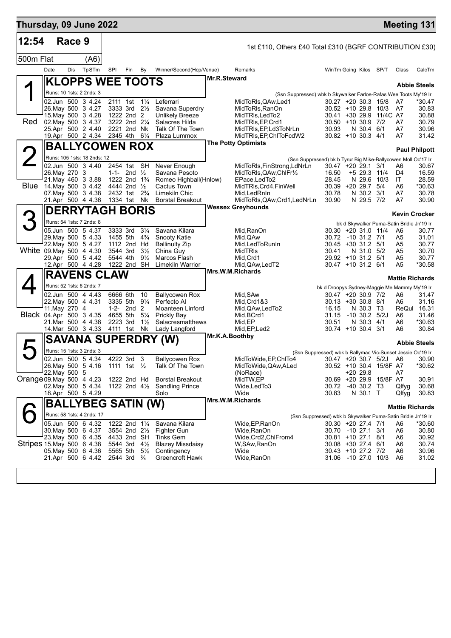| Thursday, 09 June 2022    |               |        |                                                      |             |                                                                  |                                  |                                           |                |                                                                                              |                                                                    |                                |                         |                                                 | <b>Meeting 131</b>   |
|---------------------------|---------------|--------|------------------------------------------------------|-------------|------------------------------------------------------------------|----------------------------------|-------------------------------------------|----------------|----------------------------------------------------------------------------------------------|--------------------------------------------------------------------|--------------------------------|-------------------------|-------------------------------------------------|----------------------|
| 12:54                     |               | Race 9 |                                                      |             |                                                                  |                                  |                                           |                | 1st £110, Others £40 Total £310 (BGRF CONTRIBUTION £30)                                      |                                                                    |                                |                         |                                                 |                      |
| 500m Flat                 |               |        | (A6)                                                 |             |                                                                  |                                  |                                           |                |                                                                                              |                                                                    |                                |                         |                                                 |                      |
|                           | Date          | Dis    | TpSTm                                                | SPI         | Fin By                                                           |                                  | Winner/Second(Hcp/Venue)                  |                | Remarks                                                                                      | WinTm Going Kilos SP/T                                             |                                |                         | Class                                           | CalcTm               |
|                           |               |        | <b>KLOPPS WEE TOOTS</b>                              |             |                                                                  |                                  |                                           | Mr.R.Steward   |                                                                                              |                                                                    |                                |                         |                                                 |                      |
|                           |               |        | Runs: 10 1sts: 2 2nds: 3                             |             |                                                                  |                                  |                                           |                | (Ssn Suppressed) wbk b Skywalker Farloe-Rafas Wee Toots My'19 Ir                             |                                                                    |                                |                         |                                                 | <b>Abbie Steels</b>  |
|                           |               |        | 02.Jun 500 3 4.24                                    |             |                                                                  |                                  | 2111 1st 11/4 Leferrari                   |                | MidToRIs, QAw, Led1                                                                          | 30.27 +20 30.3 15/8                                                |                                |                         | A7                                              | $*30.47$             |
|                           |               |        | 26. May 500 3 4.27<br>15. May 500 3 4.28             |             | 3333 3rd 21/2<br>1222 2nd 2                                      |                                  | Savana Superdry<br><b>Unlikely Breeze</b> |                | MidToRIs, RanOn<br>MidTRIs, LedTo2                                                           | $30.52 + 10.29.8$ 10/3                                             |                                | 30.41 +30 29.9 11/4C A7 | A7                                              | 30.83<br>30.88       |
| Red.                      |               |        | 02. May 500 3 4.37                                   |             | 3222 2nd 21/4                                                    |                                  | Salacres Hilda                            |                | MidTRIs, EP, Crd1                                                                            | $30.50 + 10.30.9$ 7/2                                              |                                |                         | A7                                              | 30.79                |
|                           |               |        | 25.Apr 500 2 4.40<br>19.Apr 500 2 4.34 2345 4th 61/4 |             | 2221 2nd Nk                                                      |                                  | Talk Of The Town<br>Plaza Lummox          |                | MidTRIs, EP, Ld3ToNrLn<br>MidTRIs, EP, ChIToFcdW2                                            | 30.93<br>$30.82 + 10.30.3$ 4/1                                     | N 30.4 6/1                     |                         | A7<br>A7                                        | 30.96<br>31.42       |
|                           |               |        | <b>BALLYCOWEN ROX</b>                                |             |                                                                  |                                  |                                           |                | <b>The Potty Optimists</b>                                                                   |                                                                    |                                |                         |                                                 |                      |
| $\overline{2}$            |               |        | Runs: 105 1sts: 18 2nds: 12                          |             |                                                                  |                                  |                                           |                |                                                                                              |                                                                    |                                |                         |                                                 | <b>Paul Philpott</b> |
|                           |               |        | 02.Jun 500 3 4.40                                    |             | 2454 1st SH                                                      |                                  | Never Enough                              |                | (Ssn Suppressed) bk b Tyrur Big Mike-Ballycowen Moll Oc'17 Ir<br>MidToRIs, FinStrong, LdNrLn | $30.47 + 20.29.1$ 3/1                                              |                                |                         | A6                                              | 30.67                |
|                           | 26. May 270 3 |        | 21. May 460 3 3.88                                   |             | 1-1- 2nd $\frac{1}{2}$<br>1222 2nd 1 <sup>3</sup> / <sub>4</sub> |                                  | Savana Pesoto<br>Romeo Highball(Hnlow)    |                | MidToRIs, QAw, ChIFr1/2<br>EPace, LedTo2                                                     | 16.50<br>28.45                                                     | +5 29.3 11/4<br>N 29.6         | 10/3                    | D4<br>IT                                        | 16.59<br>28.59       |
| Blue                      |               |        | 14. May 500 3 4.42                                   |             | 4444 2nd 1/2                                                     |                                  | Cactus Town                               |                | MidTRIs, Crd4, FinWell                                                                       | 30.39 +20 29.7 5/4                                                 |                                |                         | A6                                              | *30.63               |
|                           |               |        | 07 May 500 3 4.38<br>21.Apr 500 4 4.36               | 1334 1st Nk | 2432 1st 2 <sup>3</sup> / <sub>4</sub>                           |                                  | Limekiln Chic<br><b>Borstal Breakout</b>  |                | Mid, Led RnIn<br>MidToRIs, QAw, Crd1, LedNrLn                                                | 30.78<br>30.90                                                     | N 30.2 3/1<br>N 29.5 7/2       |                         | A7<br>A7                                        | 30.78<br>30.90       |
|                           |               |        | <b>DERRYTAGH BORIS</b>                               |             |                                                                  |                                  |                                           |                | <b>Wessex Greyhounds</b>                                                                     |                                                                    |                                |                         |                                                 |                      |
|                           |               |        | Runs: 54 1sts: 7 2nds: 8                             |             |                                                                  |                                  |                                           |                |                                                                                              |                                                                    |                                |                         | <b>Kevin Crocker</b>                            |                      |
|                           |               |        | 05.Jun 500 5 4.37                                    | 3333 3rd    |                                                                  | $3\frac{1}{4}$                   | Savana Kilara                             |                | Mid, RanOn                                                                                   | 30.30 +20 31.0 11/4                                                |                                |                         | bk d Skywalker Puma-Satin Bridie Jn'19 Ir<br>A6 | 30.77                |
|                           |               |        | 29. May 500 5 4.33                                   |             | 1455 5th 4 <sup>3</sup> / <sub>4</sub>                           |                                  | Snooty Katie                              |                | Mid, QAw                                                                                     | 30.72                                                              | -10 31.2 7/1                   |                         | A5                                              | 31.01                |
| White 09. May 500 4 4.30  |               |        | 22. May 500 5 4.27                                   | 3544 3rd    | 1112 2nd Hd                                                      | $3\frac{1}{2}$                   | <b>Ballinulty Zip</b><br>China Guy        |                | Mid, Led To Run In<br>MidTRIs                                                                | 30.45 +30 31.2 5/1<br>30.41                                        | N 31.0 5/2                     |                         | A5<br>A5                                        | 30.77<br>30.70       |
|                           |               |        | 29.Apr 500 5 4.42                                    | 5544 4th    |                                                                  | $9\frac{1}{2}$                   | Marcos Flash                              |                | Mid, Crd1                                                                                    | 29.92 +10 31.2 5/1                                                 |                                |                         | A5                                              | 30.77                |
|                           |               |        | 12.Apr 500 4 4.28                                    | 1222 2nd SH |                                                                  |                                  | <b>Limekiln Warrior</b>                   |                | Mid, QAw, Led T2<br>Mrs.W.M.Richards                                                         | $30.47 + 10.31.2$ 6/1                                              |                                |                         | A5                                              | *30.58               |
|                           |               |        | <b>RAVENS CLAW</b>                                   |             |                                                                  |                                  |                                           |                |                                                                                              |                                                                    |                                |                         | <b>Mattie Richards</b>                          |                      |
|                           |               |        | Runs: 52 1sts: 6 2nds: 7<br>02.Jun 500 4 4.43        | 6666 6th    |                                                                  | 10                               | <b>Ballycowen Rox</b>                     |                | Mid, SAw                                                                                     | bk d Droopys Sydney-Maggie Me Mammy My'19 Ir<br>30.47 +20 30.9 7/2 |                                |                         | A6                                              | 31.47                |
|                           |               |        | 22. May 500 4 4.31                                   |             | 3335 5th 91/4                                                    |                                  | Perfecto Al                               |                | Mid, Crd1&3                                                                                  | $30.13 + 30.30.8$ 8/1                                              |                                |                         | A6                                              | 31.16                |
| Black 04.Apr 500 3 4.35   | 11. May 270 4 |        |                                                      |             | 1-2- $2nd$ 2<br>4655 5th                                         | 5¼                               | Moanteen Linford<br><b>Prickly Bay</b>    |                | Mid, QAw, Led To 2<br>Mid, BCrd1                                                             | 16.15<br>31.15                                                     | N 30.3 T3<br>$-10$ 30.2 $5/2J$ |                         | ReQul<br>A6                                     | 16.31<br>31.46       |
|                           |               |        | 21.Mar 500 4 4.38                                    | 2223 3rd    |                                                                  | $1\frac{1}{2}$                   | Salacresmatthews                          |                | Mid.EP                                                                                       | 30.51                                                              | N 30.3 4/1                     |                         | A6                                              | *30.63               |
|                           |               |        | 14 Mar 500 3 4.33                                    | 4111 1st Nk |                                                                  |                                  | Lady Langford                             | Mr.K.A.Boothby | Mid, EP, Led2                                                                                | $30.74 + 10.30.4$ 3/1                                              |                                |                         | A6                                              | 30.84                |
| Д                         |               |        | <b>SAVANA SUPERDRY</b>                               |             |                                                                  |                                  | (W)                                       |                |                                                                                              |                                                                    |                                |                         |                                                 | <b>Abbie Steels</b>  |
|                           |               |        | Runs: 15 1sts: 3 2nds: 3<br>02.Jun 500 5 4.34        |             | 4222 3rd 3                                                       |                                  | <b>Ballycowen Rox</b>                     |                | (Ssn Suppressed) wbk b Ballymac Vic-Sunset Jessie Oc'19 Ir<br>MidToWide, EP, ChITo4          | 30.47 +20 30.7 5/2J A6                                             |                                |                         |                                                 | 30.90                |
|                           |               |        | 26. May 500 5 4.16 1111 1st 1/2                      |             |                                                                  |                                  | Talk Of The Town                          |                | MidToWide, QAw, ALed                                                                         |                                                                    |                                | 30.52 +10 30.4 15/8F A7 |                                                 | *30.62               |
| Orange 09. May 500 4 4.23 | 22. May 500 5 |        |                                                      |             | 1222 2nd Hd                                                      |                                  | <b>Borstal Breakout</b>                   |                | (NoRace)<br>MidTW,EP                                                                         |                                                                    | +20 29.8                       | 30.69 +20 29.9 15/8F A7 | A7                                              | 30.91                |
|                           |               |        | 02. May 500 5 4.34                                   |             | 1122 2nd $4\frac{1}{2}$                                          |                                  | <b>Sandling Prince</b>                    |                | Wide, Led To 3                                                                               | 30.72                                                              | $-40$ 30.2 T3                  |                         | Qlfyg                                           | 30.68                |
|                           |               |        | 18.Apr 500 5 4.29                                    |             |                                                                  |                                  | Solo                                      |                | Wide<br>Mrs.W.M.Richards                                                                     | 30.83                                                              | N 30.1 T                       |                         | Qlfyg                                           | 30.83                |
|                           |               |        | <b>BALLYBEG SATIN (W)</b>                            |             |                                                                  |                                  |                                           |                |                                                                                              |                                                                    |                                |                         | <b>Mattie Richards</b>                          |                      |
|                           |               |        | Runs: 58 1sts: 4 2nds: 17                            |             |                                                                  |                                  |                                           |                | (Ssn Suppressed) wbk b Skywalker Puma-Satin Bridie Jn'19 Ir                                  |                                                                    |                                |                         |                                                 |                      |
|                           |               |        | 05.Jun 500 6 4.32<br>30. May 500 6 4.37              |             | 1222 2nd 11/4<br>3554 2nd 21/2                                   |                                  | Savana Kilara<br>Fighter Gun              |                | Wide,EP,RanOn<br>Wide,RanOn                                                                  | 30.30 +20 27.4 7/1<br>30.70 -10 27.1 3/1                           |                                |                         | A6<br>A6                                        | *30.60<br>30.80      |
|                           |               |        | 23. May 500 6 4.35                                   |             | 4433 2nd SH                                                      |                                  | Tinks Gem                                 |                | Wide,Crd2,ChlFrom4                                                                           | 30.81 +10 27.1 8/1                                                 |                                |                         | A6                                              | 30.92                |
| Stripes 15 May 500 6 4.38 |               |        | 05 May 500 6 4.36                                    |             | 5544 3rd<br>5565 5th                                             | $4\frac{1}{2}$<br>$5\frac{1}{2}$ | <b>Blazey Missdaisy</b><br>Contingency    |                | W,SAw,RanOn<br>Wide                                                                          | 30.08 +30 27.4 6/1<br>30.43 +10 27.2 7/2                           |                                |                         | A6<br>A6                                        | 30.74<br>30.96       |
|                           |               |        | 21.Apr 500 6 4.42                                    |             | 2544 3rd                                                         | $\frac{3}{4}$                    | <b>Greencroft Hawk</b>                    |                | Wide, RanOn                                                                                  | 31.06 -10 27.0 10/3                                                |                                |                         | A6                                              | 31.02                |
|                           |               |        |                                                      |             |                                                                  |                                  |                                           |                |                                                                                              |                                                                    |                                |                         |                                                 |                      |
|                           |               |        |                                                      |             |                                                                  |                                  |                                           |                |                                                                                              |                                                                    |                                |                         |                                                 |                      |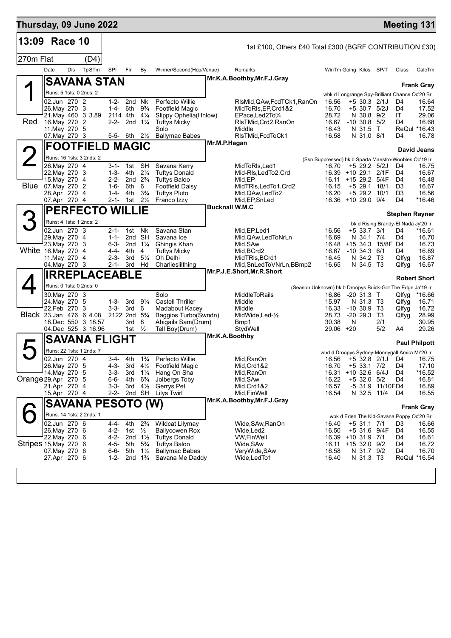| Thursday, 09 June 2022                       |                                                                                                              |     |                                                                          |                                                                  |                                                                                       |                                                                                           |                                                                                                                                     |                       |                                                                                                                                                          |                                                                                             |                                                                     |                                                     |                                                     | <b>Meeting 131</b>                                                      |                                                           |
|----------------------------------------------|--------------------------------------------------------------------------------------------------------------|-----|--------------------------------------------------------------------------|------------------------------------------------------------------|---------------------------------------------------------------------------------------|-------------------------------------------------------------------------------------------|-------------------------------------------------------------------------------------------------------------------------------------|-----------------------|----------------------------------------------------------------------------------------------------------------------------------------------------------|---------------------------------------------------------------------------------------------|---------------------------------------------------------------------|-----------------------------------------------------|-----------------------------------------------------|-------------------------------------------------------------------------|-----------------------------------------------------------|
| 13:09 Race 10                                |                                                                                                              |     |                                                                          |                                                                  |                                                                                       |                                                                                           |                                                                                                                                     |                       | 1st £100, Others £40 Total £300 (BGRF CONTRIBUTION £30)                                                                                                  |                                                                                             |                                                                     |                                                     |                                                     |                                                                         |                                                           |
| 270m Flat                                    |                                                                                                              |     | (D4)                                                                     |                                                                  |                                                                                       |                                                                                           |                                                                                                                                     |                       |                                                                                                                                                          |                                                                                             |                                                                     |                                                     |                                                     |                                                                         |                                                           |
|                                              | Date                                                                                                         | Dis | TpSTm                                                                    | SPI                                                              | Fin                                                                                   | By                                                                                        | Winner/Second(Hcp/Venue)                                                                                                            |                       | Remarks                                                                                                                                                  | WinTm Going Kilos SP/T                                                                      |                                                                     |                                                     |                                                     | Class                                                                   | CalcTm                                                    |
|                                              |                                                                                                              |     | <b>SAVANA STAN</b>                                                       |                                                                  |                                                                                       |                                                                                           |                                                                                                                                     |                       | Mr.K.A.Boothby, Mr.F.J.Gray                                                                                                                              |                                                                                             |                                                                     |                                                     |                                                     |                                                                         |                                                           |
|                                              | Runs: 5 1sts: 0 2nds: 2                                                                                      |     |                                                                          |                                                                  |                                                                                       |                                                                                           |                                                                                                                                     |                       |                                                                                                                                                          |                                                                                             |                                                                     |                                                     |                                                     | wbk d Longrange Spy-Brilliant Chance Oc'20 Br                           | <b>Frank Gray</b>                                         |
| Red                                          | 02.Jun 270 2<br>26. May 270 3<br>16. May 270 2<br>11. May 270 5<br>07. May 270 3                             |     | 21. May 460 3 3.89                                                       | 1-4- 6th<br>2114 4th 41/4                                        | 1-2- 2nd Nk<br>2-2- 2nd $1\frac{1}{4}$<br>5-5- 6th $2\frac{1}{2}$                     | $9\frac{3}{4}$                                                                            | Perfecto Willie<br>Footfield Magic<br>Slippy Ophelia(Hnlow)<br><b>Tuftys Micky</b><br>Solo<br><b>Ballymac Babes</b>                 |                       | RIsMid, QAw, FcdTCk1, RanOn<br>MidToRIs, EP, Crd1&2<br>EPace, Led 2To 3/4<br>RIsTMid, Crd2, RanOn<br>Middle<br>RIsTMid, FcdToCk1                         | 16.56<br>16.70<br>28.72<br>16.67 -10 30.8 5/2<br>16.43<br>16.58                             |                                                                     | N 30.8 9/2<br>N 31.5<br>N 31.0 8/1                  | $+5$ 30.3 2/1J<br>$+5$ 30.7 $5/2J$<br>$\top$        | D4<br>D4<br>ΙT<br>D4<br>D4                                              | 16.64<br>17.52<br>29.06<br>16.68<br>ReQul *16.43<br>16.78 |
|                                              |                                                                                                              |     | <b>FOOTFIELD MAGIC</b>                                                   |                                                                  |                                                                                       |                                                                                           |                                                                                                                                     | Mr.M.P.Hagan          |                                                                                                                                                          |                                                                                             |                                                                     |                                                     |                                                     |                                                                         | David Jeans                                               |
| <b>2</b>                                     |                                                                                                              |     | Runs: 16 1sts: 3 2nds: 2                                                 |                                                                  |                                                                                       |                                                                                           |                                                                                                                                     |                       |                                                                                                                                                          | (Ssn Suppressed) bk b Sparta Maestro-Woobles Oc'19 Ir                                       |                                                                     |                                                     |                                                     |                                                                         |                                                           |
|                                              | 26. May 270 4<br>22. May 270 3<br>15. May 270 4<br><b>Blue</b> 07. May 270 2<br>28.Apr 270 4<br>07.Apr 270 4 |     |                                                                          | 1-3- 4th<br>1-6- 6th<br>1-4-                                     | 3-1- 1st<br>2-2- 2nd 2 <sup>3</sup> / <sub>4</sub><br>4th<br>2-1- 1st                 | <b>SH</b><br>$2\frac{1}{4}$<br>6<br>$3\frac{3}{4}$<br>$2\frac{1}{2}$                      | Savana Kerry<br><b>Tuftys Donald</b><br><b>Tuftys Baloo</b><br>Footfield Daisy<br><b>Tuftys Pluto</b><br>Franco Izzy                |                       | MidToRIs, Led1<br>Mid-RIs, LedTo2, Crd<br>Mid, EP<br>MidTRIs, LedTo1, Crd2<br>Mid, QAw, Led To 2<br>Mid, EP, SnLed                                       | 16.70<br>16.39 +10 29.1 2/1F<br>16.11 +15 29.2 5/4F<br>16.15<br>16.20<br>16.36 +10 29.0 9/4 |                                                                     |                                                     | $+5$ 29.2 $5/2$ J<br>$+5$ 29.1 18/1<br>+5 29.2 10/1 | D4<br>D4<br>D4<br>D <sub>3</sub><br>D <sub>3</sub><br>D4                | 16.75<br>16.67<br>16.48<br>16.67<br>16.56<br>$*16.46$     |
|                                              |                                                                                                              |     | <b>PERFECTO WILLIE</b>                                                   |                                                                  |                                                                                       |                                                                                           |                                                                                                                                     | <b>Bucknall W.M.C</b> |                                                                                                                                                          |                                                                                             |                                                                     |                                                     |                                                     | <b>Stephen Rayner</b>                                                   |                                                           |
| З<br>White 16.May 270                        | Runs: 4 1sts: 1 2nds: 2<br>02.Jun 270 3<br>29. May 270 4<br>23. May 270 3<br>11.May 270 4<br>04. May 270 3   |     | -4                                                                       | $2 - 1 -$<br>4-4-<br>$2 - 3 -$<br>$2-1-3rd$                      | 1st<br>1-1- 2nd SH<br>$6-3$ - 2nd $1\frac{1}{4}$<br>4th<br>3rd                        | Nk<br>4<br>$5\frac{1}{4}$<br>Hd                                                           | Savana Stan<br>Savana Ice<br>Ghingis Khan<br><b>Tuftys Micky</b><br>Oh Delhi<br>Charlieslilthing                                    |                       | Mid, EP, Led1<br>Mid,QAw,LedToNrLn<br>Mid, SAw<br>Mid, BCrd2<br>MidTRIs, BCrd1<br>Mid, SnLedToVNrLn, BBmp2                                               | 16.56<br>16.69<br>16.67<br>16.45<br>16.65                                                   | $-10$ 34.3 $6/1$                                                    | +5 33.7 3/1<br>N 34.1 7/4<br>N 34.2 T3<br>N 34.5 T3 | 16.48 +15 34.3 15/8F D4                             | bk d Rising Brandy-El Nada Jy'20 Ir<br>D4<br>D4<br>D4<br>Qlfyg<br>Qlfyg | *16.61<br>16.70<br>16.73<br>16.89<br>16.87<br>16.67       |
|                                              |                                                                                                              |     | <b>IRREPLACEABLE</b>                                                     |                                                                  |                                                                                       |                                                                                           |                                                                                                                                     |                       | Mr.P.J.E.Short, Mr.R.Short                                                                                                                               |                                                                                             |                                                                     |                                                     |                                                     |                                                                         | <b>Robert Short</b>                                       |
|                                              | Runs: 0 1sts: 0 2nds: 0<br>30. May 270 3<br>24. May 270 5<br>22.Feb 270                                      |     | 3<br>Black 23.Jan 476 6 4.08<br>18.Dec 550 3 18.57<br>04.Dec 525 3 16.96 | $1 - 3 -$<br>$3 - 3 -$                                           | 3rd 91⁄4<br>3rd<br>2122 2nd 5 <sup>3</sup> / <sub>4</sub><br>3rd<br>1st $\frac{1}{2}$ | 6<br>8                                                                                    | Solo<br><b>Castell Thriller</b><br>Madabout Kacey<br>Baggios Turbo(Swndn)<br>Abigails Sam(Drum)<br>Tell Boy(Drum)                   |                       | (Season Unknown) bk b Droopys Buick-Got The Edge Ja'19 Ir<br><b>MiddleToRails</b><br>Middle<br>Middle<br>MidWide, Led- $\frac{1}{2}$<br>Bmp1<br>StydWell | 16.86<br>15.97<br>16.33<br>28.73<br>30.38<br>29.06                                          | $-2031.3$ T<br>$-10,30.9$ T <sub>3</sub><br>$-2029.3$<br>N<br>$+20$ | N 31.3 T3                                           | - ТЗ<br>2/1<br>5/2                                  | Qlfyg<br>Qlfyg<br>Qlfyg<br>Qlfyg<br>A4                                  | *16.66<br>16.71<br>16.72<br>28.99<br>30.95<br>29.26       |
|                                              |                                                                                                              |     | <b>SAVANA FLIGHT</b>                                                     |                                                                  |                                                                                       |                                                                                           |                                                                                                                                     | Mr.K.A.Boothby        |                                                                                                                                                          |                                                                                             |                                                                     |                                                     |                                                     |                                                                         | <b>Paul Philpott</b>                                      |
| $\blacktriangleright$<br>Orange 29.Apr 270 5 | 02.Jun 270 4<br>26. May 270 5<br>14. May 270 5<br>21.Apr 270 4<br>15.Apr 270 4                               |     | Runs: 22 1sts: 1 2nds: 7                                                 | $3-4-$<br>4-3-<br>$3 - 3 -$<br>6-6-<br>$3 - 3 -$<br>$2 - 2 -$    | 4th<br>3rd<br>3rd<br>4th<br>3rd $4\frac{1}{2}$                                        | $1\frac{3}{4}$<br>$1\frac{1}{4}$<br>$6\frac{3}{4}$<br>2nd SH                              | Perfecto Willie<br>41/ <sub>2</sub> Footfield Magic<br>Hang On Sha<br>Jolbergs Toby<br>Gerrys Pet<br>Lilys Twirl                    |                       | Mid, RanOn<br>Mid, Crd1&2<br>Mid, RanOn<br>Mid, SAw<br>Mid, Crd 1&2<br>Mid, Fin Well                                                                     | wbd d Droopys Sydney-Moneygall Amira Mr'20 Ir<br>16.70<br>16.31<br>16.22<br>16.57<br>16.54  | +5 33.1 7/2<br>$+10$ 32.6 6/4J                                      | $+5$ 32.0                                           | 5/2<br>-5 31.9 11/10FD4<br>N 32.5 11/4              | 16.56 +5 32.8 2/1J D4<br>D <sub>4</sub><br>D4<br>D4<br>D4               | 16.75<br>17.10<br>*16.52<br>16.81<br>16.89<br>16.55       |
|                                              |                                                                                                              |     | <b>SAVANA PESOTO (W)</b>                                                 |                                                                  |                                                                                       |                                                                                           |                                                                                                                                     |                       | Mr.K.A.Boothby, Mr.F.J.Gray                                                                                                                              |                                                                                             |                                                                     |                                                     |                                                     |                                                                         |                                                           |
|                                              |                                                                                                              |     | Runs: 14 1sts: 2 2nds: 1                                                 |                                                                  |                                                                                       |                                                                                           |                                                                                                                                     |                       |                                                                                                                                                          |                                                                                             |                                                                     |                                                     |                                                     | wbk d Eden The Kid-Savana Poppy Oc'20 Br                                | <b>Frank Gray</b>                                         |
| Stripes 15.May 270 6                         | 02.Jun 270 6<br>26. May 270 6<br>22. May 270 6<br>07. May 270 6<br>27.Apr 270 6                              |     |                                                                          | 4-4-<br>$4 - 2 -$<br>4-2-<br>$4 - 5 -$<br>$6 - 6 -$<br>$1 - 2 -$ | 4th<br>1st<br>2nd $1\frac{1}{2}$<br>5th<br>5th                                        | $2\frac{3}{4}$<br>$\frac{1}{2}$<br>$5\frac{3}{4}$<br>$1\frac{1}{2}$<br>2nd $1\frac{3}{4}$ | Wildcat Lilymay<br><b>Ballycowen Rox</b><br><b>Tuftys Donald</b><br><b>Tuftys Baloo</b><br><b>Ballymac Babes</b><br>Savana Me Daddy |                       | Wide, SAw, RanOn<br>Wide,Led2<br><b>VW,FinWell</b><br>Wide, SAw<br>VeryWide,SAw<br>Wide, Led To 1                                                        | 16.40<br>16.50<br>16.39 +10 31.9 7/1<br>16.11 +15 32.0 9/2<br>16.58<br>16.40                |                                                                     | $+5$ 31.1 7/1<br>N 31.7 9/2<br>N 31.3 T3            | +5 31.6 9/4F                                        | D3<br>D4<br>D4<br>D4<br>D4                                              | 16.66<br>16.55<br>16.61<br>16.72<br>16.70<br>ReQul *16.54 |
|                                              |                                                                                                              |     |                                                                          |                                                                  |                                                                                       |                                                                                           |                                                                                                                                     |                       |                                                                                                                                                          |                                                                                             |                                                                     |                                                     |                                                     |                                                                         |                                                           |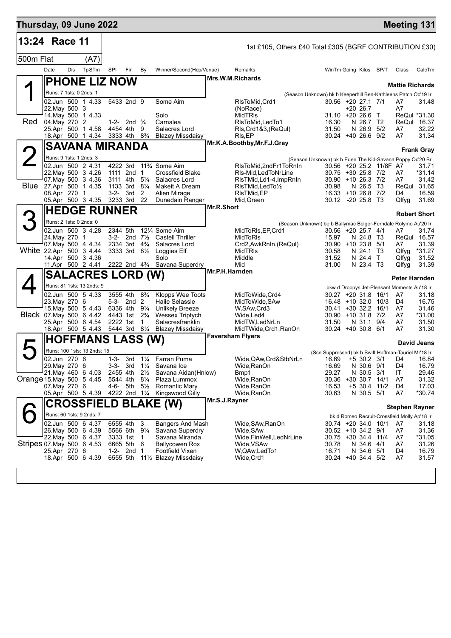| Thursday, 09 June 2022    |                                         |     |                             |           |                                        |                                  |                                                                             |                |                                                         |                                                                                      |                              |                         | <b>Meeting 131</b>                                 |                      |
|---------------------------|-----------------------------------------|-----|-----------------------------|-----------|----------------------------------------|----------------------------------|-----------------------------------------------------------------------------|----------------|---------------------------------------------------------|--------------------------------------------------------------------------------------|------------------------------|-------------------------|----------------------------------------------------|----------------------|
| 13:24 Race 11             |                                         |     |                             |           |                                        |                                  |                                                                             |                | 1st £105, Others £40 Total £305 (BGRF CONTRIBUTION £30) |                                                                                      |                              |                         |                                                    |                      |
| 500m Flat                 |                                         |     | (A7)                        |           |                                        |                                  |                                                                             |                |                                                         |                                                                                      |                              |                         |                                                    |                      |
|                           | Date                                    | Dis | TpSTm                       | SPI       | Fin                                    | By                               | Winner/Second(Hcp/Venue)                                                    |                | Remarks                                                 |                                                                                      |                              | WinTm Going Kilos SP/T  | Class                                              | CalcTm               |
|                           |                                         |     | <b>PHONE LIZ NOW</b>        |           |                                        |                                  |                                                                             |                | Mrs.W.M.Richards                                        |                                                                                      |                              |                         |                                                    |                      |
|                           | Runs: 7 1sts: 0 2nds: 1                 |     |                             |           |                                        |                                  |                                                                             |                |                                                         | (Season Unknown) bk b Keeperhill Ben-Kathleens Patch Oc'19 Ir                        |                              |                         | <b>Mattie Richards</b>                             |                      |
|                           | 02.Jun 500 1 4.33                       |     |                             |           | 5433 2nd 9                             |                                  | Some Aim                                                                    |                | RIsToMid.Crd1                                           | 30.56 +20 27.1 7/1                                                                   |                              |                         | A7                                                 | 31.48                |
|                           | 22. May 500 3<br>14 May 500 1 4.33      |     |                             |           |                                        |                                  | Solo                                                                        |                | (NoRace)<br><b>MidTRIs</b>                              | $31.10 + 2026.6$ T                                                                   | $+2026.7$                    |                         | A7                                                 | ReQul *31.30         |
| Red                       | 04. May 270 2                           |     |                             |           | 1-2- 2nd $\frac{3}{4}$                 |                                  | Carnalea                                                                    |                | RIsToMid, LedTo1                                        | 16.30                                                                                | N 26.7 T2                    |                         |                                                    | ReQul 16.37          |
|                           | 25.Apr 500 1 4.58                       |     |                             |           | 4454 4th                               | 9                                | Salacres Lord                                                               |                | Rls, Crd1&3, (ReQul)                                    | 31.50                                                                                | N 26.9 5/2                   |                         | A7                                                 | 32.22                |
|                           | 18.Apr 500 1 4.34                       |     |                             |           | 3333 4th 8 <sup>3</sup> / <sub>4</sub> |                                  | <b>Blazey Missdaisy</b>                                                     |                | RIs, EP<br>Mr.K.A.Boothby, Mr.F.J.Gray                  | $30.24 + 40.26.6$ 9/2                                                                |                              |                         | A7                                                 | 31.34                |
|                           |                                         |     | <b>SAVANA MIRANDA</b>       |           |                                        |                                  |                                                                             |                |                                                         |                                                                                      |                              |                         |                                                    | <b>Frank Gray</b>    |
|                           | Runs: 9 1sts: 1 2nds: 3                 |     |                             |           |                                        |                                  |                                                                             |                |                                                         | (Season Unknown) bk b Eden The Kid-Savana Poppy Oc'20 Br                             |                              |                         |                                                    |                      |
|                           | 02.Jun 500 2 4.31<br>22. May 500 3 4.26 |     |                             |           | 1111 2nd 1                             |                                  | 4222 3rd 11 <sup>3</sup> / <sub>4</sub> Some Aim<br><b>Crossfield Blake</b> |                | RIsToMid,2ndFr1ToRnIn<br>RIs-Mid, Led ToNrLine          | 30.75 +30 25.8 7/2                                                                   |                              | 30.56 +20 25.2 11/8F A7 | A7                                                 | 31.71<br>*31.14      |
|                           | 07 May 500 3 4.36                       |     |                             |           | 3111 4th                               | $5\frac{1}{4}$                   | Salacres Lord                                                               |                | RIsTMid, Ld1-4, ImpRnIn                                 | 30.90 +10 26.3 7/2                                                                   |                              |                         | A7                                                 | 31.42                |
|                           | Blue 27.Apr 500 1 4.35<br>08.Apr 270 1  |     |                             |           | 1133 3rd 81/4<br>3-2- 3rd              |                                  | Makeit A Dream                                                              |                | RIsTMid, Led To 1/2                                     | 30.98<br>16.33 +10 26.8 7/2                                                          | N 26.5 T3                    |                         |                                                    | ReQul 31.65<br>16.59 |
|                           | 05.Apr 500 3 4.35                       |     |                             |           | 3233 3rd 22                            | 2                                | Alien Mirage<br>Dunedain Ranger                                             |                | RIsTMid, EP<br>Mid, Green                               | 30.12 -20 25.8 T3                                                                    |                              |                         | D4<br>Qlfyg                                        | 31.69                |
|                           |                                         |     | <b>HEDGE RUNNER</b>         |           |                                        |                                  |                                                                             | Mr.R.Short     |                                                         |                                                                                      |                              |                         |                                                    |                      |
| 3                         | Runs: 2 1sts: 0 2nds: 0                 |     |                             |           |                                        |                                  |                                                                             |                |                                                         |                                                                                      |                              |                         |                                                    | <b>Robert Short</b>  |
|                           | 02.Jun 500 3 4.28                       |     |                             | 2344 5th  |                                        |                                  | 121/4 Some Aim                                                              |                | MidToRIs, EP, Crd1                                      | (Season Unknown) be b Ballymac Bolger-Ferndale Rolymo Au'20 Ir<br>30.56 +20 25.7 4/1 |                              |                         | A7                                                 | 31.74                |
|                           | 24.May 270                              |     | $\mathbf{1}$                |           | 3-2- 2nd $7\frac{1}{2}$                |                                  | <b>Castell Thriller</b>                                                     |                | MidToRIs                                                | 15.97                                                                                | N 24.8 T3                    |                         |                                                    | ReQul 16.57          |
| White 22.Apr 500 3 4.44   | 07 May 500 4 4.34                       |     |                             |           | 2334 3rd<br>3333 3rd 81/2              | $4\frac{3}{4}$                   | Salacres Lord<br>Loggies Elf                                                |                | Crd2, AwkRnIn, (ReQul)<br><b>MidTRIs</b>                | $30.90 + 1023.851$<br>30.58                                                          | N 24.1 T3                    |                         | A7<br>Qlfyg                                        | 31.39<br>*31.27      |
|                           | 14.Apr 500 3 4.36                       |     |                             |           |                                        |                                  | Solo                                                                        |                | Middle                                                  | 31.52                                                                                | N 24.4 T                     |                         | Qlfyg                                              | 31.52                |
|                           |                                         |     |                             |           |                                        |                                  | 11.Apr 500 2 4.41 2222 2nd 43/4 Savana Superdry                             |                | Mid                                                     | 31.00                                                                                | N 23.4 T3                    |                         | Qlfyg                                              | 31.39                |
|                           |                                         |     | <b>SALACRES LORD (W)</b>    |           |                                        |                                  |                                                                             | Mr.P.H.Harnden |                                                         |                                                                                      |                              |                         | Peter Harnden                                      |                      |
|                           |                                         |     | Runs: 81 1sts: 13 2nds: 9   |           |                                        |                                  |                                                                             |                |                                                         |                                                                                      |                              |                         | bkw d Droopys Jet-Pleasant Moments Au'18 Ir        |                      |
|                           | 02.Jun 500 5 4.33                       |     |                             |           | 3555 4th                               | $8\frac{3}{4}$                   | Klopps Wee Toots                                                            |                | MidToWide, Crd4                                         | 30.27 +20 31.8 16/1                                                                  |                              |                         | A7                                                 | 31.18                |
|                           | 23. May 270 6<br>15. May 500 5 4.43     |     |                             |           | 5-3- 2nd 2<br>6336 4th 91/4            |                                  | Haile Selassie<br><b>Unlikely Breeze</b>                                    |                | MidToWide, SAw<br>W, SAw, Crd3                          | 16.48 +10 32.0 10/3<br>30.41 +30 32.2 16/1                                           |                              |                         | D4<br>A7                                           | 16.75<br>31.46       |
| Black 07 May 500 6 4.42   |                                         |     |                             |           | 4443 1st 2 <sup>3</sup> / <sub>4</sub> |                                  | <b>Wessex Triptych</b>                                                      |                | Wide, Led4                                              | $30.90 + 10.31.8$ 7/2                                                                |                              |                         | A7                                                 | *31.00               |
|                           | 25.Apr 500 6 4.54<br>18.Apr 500 5 4.43  |     |                             |           | 2222 1st<br>5444 3rd 81/4              | $\mathbf 1$                      | Salacresfranklin<br><b>Blazey Missdaisy</b>                                 |                | MidTW, LedNrLn<br>MidTWide, Crd1, RanOn                 | 31.50<br>$30.24 + 4030.86/1$                                                         | N 31.1 9/4                   |                         | A7<br>A7                                           | 31.50<br>31.30       |
|                           |                                         |     |                             |           |                                        |                                  |                                                                             |                | <b>Faversham Flyers</b>                                 |                                                                                      |                              |                         |                                                    |                      |
|                           |                                         |     | <b>HOFFMANS LASS (W)</b>    |           |                                        |                                  |                                                                             |                |                                                         |                                                                                      |                              |                         |                                                    | <b>David Jeans</b>   |
|                           | 02.Jun 270 6                            |     | Runs: 100 1sts: 13 2nds: 15 | $1 - 3 -$ |                                        |                                  | 3rd 1 <sup>1</sup> / <sub>4</sub> Farran Puma                               |                | Wide, QAw, Crd&StbNrLn                                  | (Ssn Suppressed) bk b Swift Hoffman-Tauriel Mr'18 Ir<br>16.69 +5 30.2 3/1            |                              |                         | D4                                                 | 16.84                |
|                           | 29. May 270 6                           |     |                             | 3-3-      | 3rd                                    | $1\frac{1}{4}$                   | Savana Ice                                                                  |                | Wide, RanOn                                             | 16.69                                                                                | N 30.6 9/1                   |                         | D4                                                 | 16.79                |
|                           | 21. May 460 6 4.03                      |     |                             |           | 2455 4th                               | $2\frac{1}{2}$                   | Savana Aidan(Hnlow)                                                         |                | Bmp1                                                    | 29.27                                                                                | N 30.5 3/1                   |                         | IT                                                 | 29.46                |
| Orange 15. May 500 5 4.45 | 07. May 270 6                           |     |                             |           | 5544 4th<br>4-6- 5th                   | $8\frac{1}{4}$<br>$5\frac{1}{2}$ | Plaza Lummox<br>Romantic Mary                                               |                | Wide,RanOn<br>Wide, RanOn                               | 30.36<br>16.53                                                                       | $+30.30.7$<br>$+5$ 30.4 11/2 | 14/1                    | A7<br>D4                                           | 31.32<br>17.03       |
|                           | 05.Apr 500 5 4.39                       |     |                             |           | 4222 2nd 11/4                          |                                  | Kingswood Gilly                                                             |                | Wide, RanOn                                             | 30.63                                                                                | N 30.5 5/1                   |                         | A7                                                 | *30.74               |
|                           |                                         |     |                             |           |                                        |                                  | <b>CROSSFIELD BLAKE (W)</b>                                                 | Mr.S.J.Rayner  |                                                         |                                                                                      |                              |                         |                                                    |                      |
|                           | Runs: 60 1sts: 9 2nds: 7                |     |                             |           |                                        |                                  |                                                                             |                |                                                         |                                                                                      |                              |                         | <b>Stephen Rayner</b>                              |                      |
|                           | 02.Jun 500 6 4.37                       |     |                             |           | 6555 4th                               | 3                                | <b>Bangers And Mash</b>                                                     |                | Wide, SAw, RanOn                                        | 30.74 +20 34.0 10/1                                                                  |                              |                         | bk d Romeo Recruit-Crossfield Molly Ap'18 Ir<br>A7 | 31.18                |
|                           | 26. May 500 6 4.39                      |     |                             |           | 5566 6th                               | $9\frac{1}{4}$                   | Savana Superdry                                                             |                | Wide, SAw                                               | 30.52 +10 34.2 9/1                                                                   |                              |                         | A7                                                 | 31.36                |
| Stripes 07 May 500 6 4.53 | 22. May 500 6 4.37                      |     |                             |           | 3333 1st<br>6665 5th                   | $\overline{1}$<br>6              | Savana Miranda<br><b>Ballycowen Rox</b>                                     |                | Wide, Fin Well, LedNrLine<br>Wide,VSAw                  | 30.75 +30 34.4 11/4<br>30.78                                                         | N 34.6 4/1                   |                         | A7<br>A7                                           | *31.05<br>31.26      |
|                           | 25.Apr 270 6                            |     |                             | 1-2-      | 2nd                                    | $\overline{1}$                   | Footfield Vixen                                                             |                | W, QAw, Led To 1                                        | 16.71                                                                                | N 34.6 5/1                   |                         | D4                                                 | 16.79                |
|                           | 18.Apr 500 6 4.39                       |     |                             |           | 6555 5th                               |                                  | 11½ Blazey Missdaisy                                                        |                | Wide, Crd1                                              | 30.24 +40 34.4 5/2                                                                   |                              |                         | A7                                                 | 31.57                |
|                           |                                         |     |                             |           |                                        |                                  |                                                                             |                |                                                         |                                                                                      |                              |                         |                                                    |                      |
|                           |                                         |     |                             |           |                                        |                                  |                                                                             |                |                                                         |                                                                                      |                              |                         |                                                    |                      |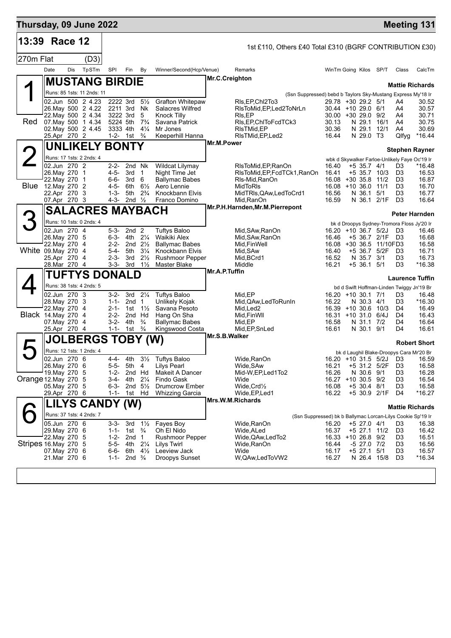| Thursday, 09 June 2022  |                                                                                                             |     |                            |                                                               |                                                                                           |                                                               |                                                                                                                           |                |                                                                                                                              |                                                                                             |                                                                                                  |                                                            |                                                                                  | <b>Meeting 131</b>                                                                              |
|-------------------------|-------------------------------------------------------------------------------------------------------------|-----|----------------------------|---------------------------------------------------------------|-------------------------------------------------------------------------------------------|---------------------------------------------------------------|---------------------------------------------------------------------------------------------------------------------------|----------------|------------------------------------------------------------------------------------------------------------------------------|---------------------------------------------------------------------------------------------|--------------------------------------------------------------------------------------------------|------------------------------------------------------------|----------------------------------------------------------------------------------|-------------------------------------------------------------------------------------------------|
| 13:39 Race 12           |                                                                                                             |     |                            |                                                               |                                                                                           |                                                               |                                                                                                                           |                | 1st £110, Others £40 Total £310 (BGRF CONTRIBUTION £30)                                                                      |                                                                                             |                                                                                                  |                                                            |                                                                                  |                                                                                                 |
| 270m Flat               |                                                                                                             |     | (D3)                       |                                                               |                                                                                           |                                                               |                                                                                                                           |                |                                                                                                                              |                                                                                             |                                                                                                  |                                                            |                                                                                  |                                                                                                 |
|                         | Date                                                                                                        | Dis | TpSTm                      | SPI                                                           | Fin                                                                                       | By                                                            | Winner/Second(Hcp/Venue)                                                                                                  |                | Remarks                                                                                                                      |                                                                                             |                                                                                                  | WinTm Going Kilos SP/T                                     | Class                                                                            | CalcTm                                                                                          |
|                         |                                                                                                             |     | <b>MUSTANG BIRDIE</b>      |                                                               |                                                                                           |                                                               |                                                                                                                           | Mr.C.Creighton |                                                                                                                              |                                                                                             |                                                                                                  |                                                            |                                                                                  |                                                                                                 |
|                         |                                                                                                             |     | Runs: 85 1sts: 11 2nds: 11 |                                                               |                                                                                           |                                                               |                                                                                                                           |                | (Ssn Suppressed) bebd b Taylors Sky-Mustang Express My'18 Ir                                                                 |                                                                                             |                                                                                                  |                                                            |                                                                                  | <b>Mattie Richards</b>                                                                          |
| Red                     | 02.Jun 500 2 4.23<br>26. May 500 2 4.22<br>22. May 500 2 4.34<br>07 May 500 1 4.34<br>02. May 500 2 4.45    |     |                            | 2222 3rd<br>2211 3rd<br>3222 3rd<br>5224 5th<br>3333 4th      |                                                                                           | $5\frac{1}{2}$<br>Nk<br>5<br>$7\frac{3}{4}$<br>$4\frac{1}{4}$ | <b>Grafton Whitepaw</b><br>Salacres Wilfred<br><b>Knock Tilly</b><br>Savana Patrick<br>Mr Jones                           |                | RIs, EP, ChI2To 3<br>RIsToMid, EP, Led 2ToNrLn<br>RIs, EP<br>RIs, EP, ChITo Fcd TCk3<br>RIsTMid,EP                           | 29.78 +30 29.2 5/1<br>$30.44 + 1029.06/1$<br>$30.00 + 30.29.0$ 9/2<br>30.13<br>30.36        | N 29.1 16/1<br>N 29.1                                                                            | 12/1                                                       | A4<br>A4<br>A4<br>A4<br>A4                                                       | 30.52<br>30.57<br>30.71<br>30.75<br>30.69                                                       |
|                         | 25.Apr 270 2                                                                                                |     |                            |                                                               | 1-2- 1st                                                                                  | $\frac{3}{4}$                                                 | Keeperhill Hanna                                                                                                          |                | RIsTMid, EP, Led2                                                                                                            | 16.44                                                                                       | N 29.0 T3                                                                                        |                                                            | Qlfyg                                                                            | *16.44                                                                                          |
|                         |                                                                                                             |     | <b>UNLIKELY BONTY</b>      |                                                               |                                                                                           |                                                               |                                                                                                                           | Mr.M.Power     |                                                                                                                              |                                                                                             |                                                                                                  |                                                            |                                                                                  | <b>Stephen Rayner</b>                                                                           |
| $\angle$                | Runs: 17 1sts: 2 2nds: 4                                                                                    |     |                            |                                                               |                                                                                           |                                                               |                                                                                                                           |                |                                                                                                                              |                                                                                             |                                                                                                  |                                                            |                                                                                  | wbk d Skywalker Farloe-Unlikely Faye Oc'19 Ir                                                   |
|                         | 02.Jun 270 2<br>26. May 270 1<br>22. May 270 1<br><b>Blue</b> 12. May 270 2<br>22.Apr 270 3<br>07.Apr 270 3 |     |                            | $2 - 2 -$<br>4-5-<br>6-6-<br>4-5-<br>$1 - 3 -$<br>4-3-        | 2nd Nk<br>3rd<br>3rd<br>6th<br>5th<br>2nd $\frac{1}{2}$                                   | $\overline{1}$<br>- 6<br>$6\frac{1}{2}$<br>$2\frac{3}{4}$     | Wildcat Lilymay<br>Night Time Jet<br><b>Ballymac Babes</b><br>Aero Lennie<br>Knockbann Elvis<br>Franco Domino             |                | RIsToMid, EP, RanOn<br>RIsToMid, EP, FcdTCk1, RanOn<br>Rls-Mid, RanOn<br>MidToRIs<br>MidTRIs, QAw, Led To Crd1<br>Mid, RanOn | 16.40<br>16.41<br>$16.08 + 30.35.8$<br>$16.08 + 10.36.0$<br>16.56<br>16.59                  | +5 35.7 4/1<br>$+5$ 35.7 10/3<br>N 36.1                                                          | 11/2<br>11/1<br>5/1<br>N 36.1 2/1F                         | D3<br>D <sub>3</sub><br>D <sub>3</sub><br>D <sub>3</sub><br>D3<br>D <sub>3</sub> | *16.48<br>16.53<br>16.87<br>16.70<br>16.77<br>16.64                                             |
|                         |                                                                                                             |     | <b>SALACRES MAYBACH</b>    |                                                               |                                                                                           |                                                               |                                                                                                                           |                | Mr.P.H.Harnden, Mr.M.Pierrepont                                                                                              |                                                                                             |                                                                                                  |                                                            |                                                                                  | Peter Harnden                                                                                   |
| З                       | Runs: 10 1sts: 0 2nds: 4                                                                                    |     |                            |                                                               |                                                                                           |                                                               |                                                                                                                           |                |                                                                                                                              |                                                                                             |                                                                                                  |                                                            |                                                                                  | bk d Droopys Sydney-Tromora Floss Jy'20 Ir                                                      |
| White 09. May 270 4     | 02.Jun 270 4<br>26. May 270 5<br>22. May 270 4<br>25.Apr 270 4<br>28.Mar 270 4                              |     |                            | 5-3-<br>$2 - 2 -$<br>$5 - 4 -$<br>$2 - 3 -$                   | 2nd <sub>2</sub><br>6-3- 4th 21/4<br>2nd $2\frac{1}{2}$<br>5th<br>3rd<br>$3-3-3rd$        | $3\frac{1}{4}$<br>$2\frac{1}{2}$<br>$1\frac{1}{2}$            | <b>Tuftys Baloo</b><br>Waikiki Alex<br><b>Ballymac Babes</b><br>Knockbann Elvis<br><b>Rushmoor Pepper</b><br>Master Blake |                | Mid, SAw, RanOn<br>Mid, SAw, RanOn<br>Mid, Fin Well<br>Mid, SAw<br>Mid, BCrd1<br>Middle                                      | 16.20<br>16.46<br>16.40<br>16.52<br>16.21                                                   | +10 36.7 5/2J<br>N 35.7 3/1<br>$+5$ 36.1 $5/1$                                                   | +5 36.7 2/1F D3<br>16.08 +30 36.5 11/10FD3<br>+5 36.7 5/2F | D3<br>D <sub>3</sub><br>D <sub>3</sub><br>D <sub>3</sub>                         | 16.46<br>16.68<br>16.58<br>16.71<br>16.73<br>$*16.38$                                           |
|                         |                                                                                                             |     | <b>TUFTYS DONALD</b>       |                                                               |                                                                                           |                                                               |                                                                                                                           | Mr.A.P.Tuffin  |                                                                                                                              |                                                                                             |                                                                                                  |                                                            |                                                                                  | <b>Laurence Tuffin</b>                                                                          |
|                         | Runs: 38 1sts: 4 2nds: 5                                                                                    |     |                            |                                                               |                                                                                           |                                                               |                                                                                                                           |                |                                                                                                                              |                                                                                             |                                                                                                  |                                                            |                                                                                  | bd d Swift Hoffman-Linden Twiggy Jn'19 Br                                                       |
| <b>Black 14.May 270</b> | 02.Jun 270 3<br>28. May 270 3<br>22. May 270 4<br>07. May 270 4<br>25.Apr 270 4                             |     | 4                          | 3-2-<br>$1 - 1 -$<br>$2 - 2 -$<br>$3-2-$<br>$1 - 1 -$         | 3rd $2\frac{1}{4}$<br>2nd <sub>1</sub><br>2-1- 1st $1\frac{1}{2}$<br>2nd Hd<br>4th<br>1st | $\frac{3}{4}$<br>$\frac{3}{4}$                                | <b>Tuftys Baloo</b><br>Unlikely Kojak<br>Savana Pesoto<br>Hang On Sha<br><b>Ballymac Babes</b><br>Kingswood Costa         | Mr.S.B.Walker  | Mid, EP<br>Mid, QAw, Led To Run In<br>Mid, Led <sub>2</sub><br>Mid, Fin WII<br>Mid,EP<br>Mid, EP, SnLed                      | 16.20 +10 30.1 7/1<br>16.22<br>16.39 +10 30.6 10/3<br>16.31 +10 31.0 6/4J<br>16.58<br>16.61 | N 30.3 4/1<br>N 31.1 7/2<br>N 30.1 9/1                                                           |                                                            | D3<br>D <sub>3</sub><br>D4<br>D4<br>D4<br>D4                                     | 16.48<br>*16.30<br>16.49<br>16.43<br>16.64<br>16.61                                             |
| $\blacktriangleright$   |                                                                                                             |     | <b>JOLBERGS TOBY (W)</b>   |                                                               |                                                                                           |                                                               |                                                                                                                           |                |                                                                                                                              |                                                                                             |                                                                                                  |                                                            |                                                                                  | <b>Robert Short</b>                                                                             |
| Orange 12. May 270 5    | Runs: 12 1sts: 1 2nds: 4<br>02.Jun 270 6<br>26. May 270 6<br>19. May 270 5<br>05. May 270 5<br>29.Apr 270 6 |     |                            | 4-4-<br>$5 - 5 -$<br>1-2-<br>3-4-<br>$6 - 3 -$<br>$1 - 1 -$   | 4th<br>5th 4<br>2nd Hd<br>4th<br>2nd $5\frac{1}{2}$<br>1st Hd                             | $2\frac{1}{4}$                                                | 31/ <sub>2</sub> Tuftys Baloo<br>Lilys Pearl<br>Makeit A Dancer<br>Findo Gask<br>Drumcrow Ember<br><b>Whizzing Garcia</b> |                | Wide, RanOn<br>Wide, SAw<br>Mid-W, EP, Led 1To 2<br>Wide<br>$W$ ide, $C$ rd $\frac{1}{2}$<br>Wide, EP, Led1                  | 16.21<br>16.26<br>16.27 +10 30.5 9/2<br>16.08<br>16.22                                      | +5 31.2 5/2F<br>N 30.6 9/1<br>$+5$ 30.4 8/1                                                      | 16.20 +10 31.5 5/2J D3<br>+5 30.9 2/1F                     | D <sub>3</sub><br>D3<br>D <sub>3</sub><br>D <sub>3</sub><br>D4                   | bk d Laughil Blake-Droopys Cara Mr'20 Br<br>16.59<br>16.58<br>16.28<br>16.54<br>16.58<br>*16.27 |
|                         |                                                                                                             |     | LILYS CANDY (W)            |                                                               |                                                                                           |                                                               |                                                                                                                           |                | Mrs.W.M.Richards                                                                                                             |                                                                                             |                                                                                                  |                                                            |                                                                                  | Mattie Richards                                                                                 |
|                         | Runs: 37 1sts: 4 2nds: 7                                                                                    |     |                            |                                                               |                                                                                           |                                                               |                                                                                                                           |                | (Ssn Suppressed) bk b Ballymac Lorcan-Lilys Cookie Sp'19 Ir                                                                  |                                                                                             |                                                                                                  |                                                            |                                                                                  |                                                                                                 |
| Stripes 16 May 270 5    | 05.Jun 270 6<br>29. May 270 6<br>22. May 270 5<br>07. May 270 6<br>21.Mar 270 6                             |     |                            | $3 - 3 -$<br>$1 - 1 -$<br>$1 - 2 -$<br>$6 - 6 -$<br>$1 - 1 -$ | 3rd<br>1st $\frac{3}{4}$<br>2nd 1<br>5-5- 4th<br>6th $4\frac{1}{2}$<br>2nd $\frac{3}{4}$  | $1\frac{1}{2}$<br>$2\frac{1}{4}$                              | Fayes Boy<br>Oh El Nido<br><b>Rushmoor Pepper</b><br><b>Lilys Twirl</b><br>Leeview Jack<br>Droopys Sunset                 |                | Wide, RanOn<br>Wide, ALed<br>Wide, QAw, Led To 2<br>Wide,RanOn<br>Wide<br>W, QAw, Led To VW2                                 | 16.20<br>16.37<br>16.33<br>16.44<br>16.17<br>16.27                                          | $+5$ 27.0 4/1<br>+5 27.1 11/2<br>+10 26.8 9/2<br>$-5$ 27.0 7/2<br>$+5$ 27.1 $5/1$<br>N 26.4 15/8 |                                                            | D3<br>D <sub>3</sub><br>D3<br>D3<br>D <sub>3</sub><br>D <sub>3</sub>             | 16.38<br>16.42<br>16.51<br>16.56<br>16.57<br>$*16.34$                                           |
|                         |                                                                                                             |     |                            |                                                               |                                                                                           |                                                               |                                                                                                                           |                |                                                                                                                              |                                                                                             |                                                                                                  |                                                            |                                                                                  |                                                                                                 |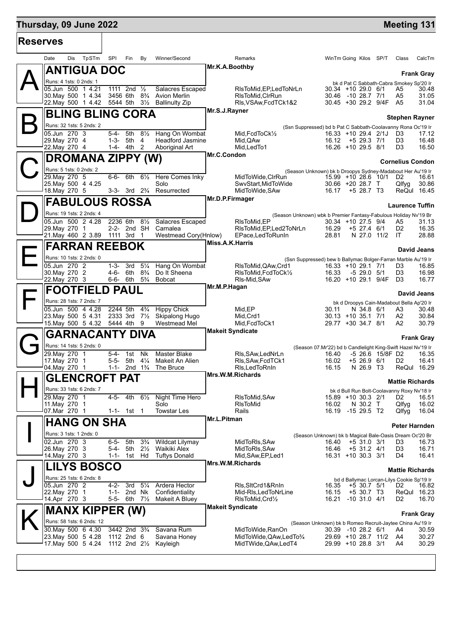## **Thursday, 09 June 2022 Meeting 131**

| <b>Reserves</b> |                                                        |                                        |                                   |                                                                              |                 |                                                 |                                                                  |                                              |                         |                      |
|-----------------|--------------------------------------------------------|----------------------------------------|-----------------------------------|------------------------------------------------------------------------------|-----------------|-------------------------------------------------|------------------------------------------------------------------|----------------------------------------------|-------------------------|----------------------|
|                 | Dis TpSTm SPI<br>Date                                  | Fin                                    | By                                | Winner/Second                                                                |                 | Remarks                                         |                                                                  | WinTm Going Kilos SP/T                       | Class                   | CalcTm               |
|                 | <b>ANTIGUA DOC</b>                                     |                                        |                                   |                                                                              | Mr.K.A.Boothby  |                                                 |                                                                  |                                              |                         | <b>Frank Gray</b>    |
|                 | Runs: 4 1sts: 0 2nds: 1                                |                                        |                                   |                                                                              |                 |                                                 |                                                                  | bk d Pat C Sabbath-Cabra Smokey Sp'20 Ir     |                         |                      |
|                 | 05.Jun 500 1 4.21                                      | 1111 2nd $\frac{1}{2}$                 |                                   | Salacres Escaped                                                             |                 | RIsToMid, EP, LedToNrLn                         |                                                                  | 30.34 +10 29.0 6/1                           | A5                      | 30.48                |
|                 | 30. May 500 1 4.34<br>22. May 500 1 4.42 5544 5th 31/2 |                                        |                                   | 3456 6th 8 <sup>3</sup> / <sub>4</sub> Avion Merlin<br><b>Ballinulty Zip</b> |                 | RIsToMid, CIrRun<br>RIs, VSAw, FcdTCk1&2        |                                                                  | 30.46 -10 28.7 7/1<br>30.45 +30 29.2 9/4F A5 | A5                      | 31.05<br>31.04       |
|                 |                                                        |                                        |                                   |                                                                              | Mr.S.J.Rayner   |                                                 |                                                                  |                                              |                         |                      |
|                 | <b>BLING BLING CORA</b>                                |                                        |                                   |                                                                              |                 |                                                 |                                                                  |                                              | Stephen Rayner          |                      |
|                 | Runs: 32 1sts: 5 2nds: 2                               |                                        |                                   |                                                                              |                 |                                                 | (Ssn Suppressed) bd b Pat C Sabbath-Coolavanny Rona Oc'19 Ir     |                                              |                         |                      |
|                 | 05.Jun 270 3<br>29. May 270 4                          | 5-4- 5th 81/2<br>5th<br>1-3-           | 4                                 | Hang On Wombat<br><b>Headford Jasmine</b>                                    |                 | Mid, FcdToCk1/2<br>Mid, QAw                     |                                                                  | 16.33 +10 29.4 2/1J<br>$16.12 + 529.371$     | D <sub>3</sub><br>D3    | 17.12<br>16.48       |
|                 | 22. May 270 4                                          | 1-4- 4th 2                             |                                   | Aboriginal Art                                                               |                 | Mid, Led To 1                                   |                                                                  | 16.26 +10 29.5 8/1                           | D3                      | 16.50                |
|                 |                                                        |                                        |                                   |                                                                              | Mr.C.Condon     |                                                 |                                                                  |                                              |                         |                      |
|                 | DROMANA ZIPPY (W)                                      |                                        |                                   |                                                                              |                 |                                                 |                                                                  |                                              | <b>Cornelius Condon</b> |                      |
|                 | Runs: 5 1sts: 0 2nds: 2                                |                                        |                                   |                                                                              |                 |                                                 | (Season Unknown) bk b Droopys Sydney-Madabout Her Au'19 Ir       |                                              |                         |                      |
|                 | 29. May 270 5                                          |                                        |                                   | 6-6- 6th 61/ <sub>2</sub> Here Comes Inky<br>Solo                            |                 | MidToWide, CIrRun<br>SwyStart.MidToWide         |                                                                  | 15.99 +10 28.6 10/1                          | D <sub>2</sub>          | 16.61                |
|                 | 25. May 500 4 4.25<br>18. May 270 5                    |                                        |                                   | 3-3- 3rd 2 <sup>3</sup> / <sub>4</sub> Resurrected                           |                 | MidToWide, SAw                                  | 16.17                                                            | $30.66 + 20.28.7$ T<br>+5 28.7 T3            | Qlfyg                   | 30.86<br>ReQul 16.45 |
|                 |                                                        |                                        |                                   |                                                                              | Mr.D.P.Firmager |                                                 |                                                                  |                                              |                         |                      |
|                 | <b>FABULOUS ROSSA</b>                                  |                                        |                                   |                                                                              |                 |                                                 |                                                                  |                                              | <b>Laurence Tuffin</b>  |                      |
|                 | Runs: 19 1sts: 2 2nds: 4                               |                                        |                                   |                                                                              |                 |                                                 | (Season Unknown) wbk b Premier Fantasy-Fabulous Holiday Nv'19 Br |                                              |                         |                      |
|                 | 05.Jun 500 2 4.28                                      | 2236 6th 81/2                          |                                   | Salacres Escaped                                                             |                 | RIsToMid, EP                                    |                                                                  | 30.34 +10 27.5 9/4                           | A5                      | 31.13                |
|                 | 29. May 270 1<br>21. May 460 2 3.89 1111 3rd 1         | 2-2- 2nd SH                            |                                   | Carnalea<br>Westmead Cory(Hnlow)                                             |                 | RIsToMid, EP, Led2ToNrLn<br>EPace, Led To RunIn | 16.29<br>28.81                                                   | $+5$ 27.4 6/1<br>N 27.0 11/2                 | D <sub>2</sub><br>IT.   | 16.35<br>28.88       |
|                 |                                                        |                                        |                                   |                                                                              | Miss.A.K.Harris |                                                 |                                                                  |                                              |                         |                      |
|                 | <b>FARRAN REEBOK</b>                                   |                                        |                                   |                                                                              |                 |                                                 |                                                                  |                                              |                         | David Jeans          |
|                 | Runs: 10 1sts: 2 2nds: 0                               |                                        |                                   |                                                                              |                 |                                                 | (Ssn Suppressed) bew b Ballymac Bolger-Farran Marble Au'19 Ir    |                                              |                         |                      |
|                 | 05.Jun 270 2                                           | 1-3-<br>3rd                            | $5\frac{1}{4}$                    | Hang On Wombat                                                               |                 | RIsToMid, QAw, Crd1                             |                                                                  | 16.33 +10 29.1 7/1                           | D3                      | 16.85                |
|                 | 30. May 270 2<br>22. May 270 3                         | 4-6-<br>6-6- 6th $5\frac{3}{4}$        | 6th 8 <sup>3</sup> / <sub>4</sub> | Do It Sheena<br><b>Bobcat</b>                                                |                 | RIsToMid, FcdToCk1/2<br>RIs-Mid, SAw            | 16.33                                                            | -5 29.0 5/1<br>16.20 +10 29.1 9/4F           | D3<br>D <sub>3</sub>    | 16.98<br>16.77       |
|                 |                                                        |                                        |                                   |                                                                              | Mr.M.P.Hagan    |                                                 |                                                                  |                                              |                         |                      |
|                 | <b>FOOTFIELD PAUL</b>                                  |                                        |                                   |                                                                              |                 |                                                 |                                                                  |                                              |                         | David Jeans          |
|                 | Runs: 28 1sts: 7 2nds: 7                               |                                        |                                   |                                                                              |                 |                                                 |                                                                  | bk d Droopys Cain-Madabout Bella Ap'20 Ir    |                         |                      |
|                 | 05.Jun 500 4 4.28                                      | 2244 5th                               | $4\frac{3}{4}$                    | <b>Hippy Chick</b>                                                           |                 | Mid,EP                                          | 30.11                                                            | N 34.8 6/1                                   | A3                      | 30.48                |
|                 | 23. May 500 5 4.31<br>15. May 500 5 4.32 5444 4th 9    |                                        |                                   | 2333 3rd 7 <sup>1</sup> / <sub>2</sub> Skipalong Hugo<br>Westmead Mel        |                 | Mid, Crd1<br>Mid, FcdToCk1                      |                                                                  | $30.13 + 10.35.1$ 7/1<br>29.77 +30 34.7 8/1  | A2<br>A2                | 30.84<br>30.79       |
|                 |                                                        |                                        |                                   |                                                                              |                 | <b>Makeit Syndicate</b>                         |                                                                  |                                              |                         |                      |
|                 | <b>GARNACANTY DIVA</b>                                 |                                        |                                   |                                                                              |                 |                                                 |                                                                  |                                              |                         | <b>Frank Gray</b>    |
|                 | Runs: 14 1sts: 5 2nds: 0                               |                                        |                                   |                                                                              |                 |                                                 | (Season 07.Mr'22) bd b Candlelight King-Swift Hazel Nv'19 Ir     |                                              |                         |                      |
|                 | 29. May 270 1                                          | 5-4- 1st Nk                            |                                   | Master Blake                                                                 |                 | RIs.SAw.LedNrLn                                 | 16.40                                                            | -5 26.6 15/8F D2                             |                         | 16.35                |
|                 | 17. May 270 1                                          | 5-5- 5th $4\frac{1}{4}$                |                                   | Makeit An Alien                                                              |                 | RIs, SAw, FcdTCk1                               | 16.02                                                            | $+5$ 26.9 6/1                                | D <sub>2</sub>          | 16.41                |
|                 | 04. May 270 1                                          |                                        |                                   | 1-1- 2nd $1\frac{3}{4}$ The Bruce                                            |                 | RIs, Led To RnIn<br>Mrs.W.M.Richards            | 16.15                                                            | N 26.9 T3                                    |                         | ReQul 16.29          |
|                 | <b>GLENCROFT PAT</b>                                   |                                        |                                   |                                                                              |                 |                                                 |                                                                  |                                              | <b>Mattie Richards</b>  |                      |
|                 | Runs: 33 1sts: 6 2nds: 7                               |                                        |                                   |                                                                              |                 |                                                 |                                                                  | bk d Bull Run Bolt-Coolavanny Roxy Nv'18 Ir  |                         |                      |
|                 | 29. May 270 1                                          | 4-5- 4th                               | $6\frac{1}{2}$                    | Night Time Hero                                                              |                 | RIsToMid, SAw                                   |                                                                  | 15.89 +10 30.3 2/1                           | D <sub>2</sub>          | 16.51                |
|                 | 11. May 270 1<br>07.Mar 270 1                          | $1 - 1 - 1$ st 1                       |                                   | Solo<br><b>Towstar Les</b>                                                   |                 | <b>RIsToMid</b><br>Rails                        | 16.02                                                            | N 30.2 T<br>16.19 -15 29.5 T2                | Qlfyg                   | 16.02<br>16.04       |
|                 |                                                        |                                        |                                   |                                                                              | Mr.L.Pitman     |                                                 |                                                                  |                                              | Qlfyg                   |                      |
|                 | <b>HANG ON SHA</b>                                     |                                        |                                   |                                                                              |                 |                                                 |                                                                  |                                              | Peter Harnden           |                      |
|                 | Runs: 3 1sts: 1 2nds: 0                                |                                        |                                   |                                                                              |                 |                                                 | (Season Unknown) bk b Magical Bale-Oasis Dream Oc'20 Br          |                                              |                         |                      |
|                 | 02.Jun 270 3                                           | 6-5- 5th                               | $3\frac{3}{4}$                    | <b>Wildcat Lilymay</b>                                                       |                 | MidToRIs, SAw                                   | 16.40                                                            | $+5$ 31.0 3/1                                | D3                      | 16.73                |
|                 | 26. May 270 3                                          | 5-4-<br>5th                            | $2\frac{1}{2}$                    | Waikiki Alex<br><b>Tuftys Donald</b>                                         |                 | MidToRIs, SAw                                   | 16.46                                                            | $+5$ 31.2 4/1                                | D3                      | 16.71                |
|                 | 14. May 270 3                                          | 1-1- 1st Hd                            |                                   |                                                                              |                 | Mid, SAw, EP, Led1<br>Mrs.W.M.Richards          |                                                                  | 16.31 +10 30.3 3/1                           | D4                      | 16.41                |
|                 | <b>LILYS BOSCO</b>                                     |                                        |                                   |                                                                              |                 |                                                 |                                                                  |                                              | <b>Mattie Richards</b>  |                      |
|                 | Runs: 25 1sts: 6 2nds: 8                               |                                        |                                   |                                                                              |                 |                                                 |                                                                  | bd d Ballymac Lorcan-Lilys Cookie Sp'19 Ir   |                         |                      |
|                 | 05.Jun 270 2                                           | $4 - 2 -$<br>3rd                       | $5\frac{1}{4}$                    | Ardera Hector                                                                |                 | RIs, SItCrd1&RnIn                               | 16.35                                                            | +5 30.7 5/1                                  | D <sub>2</sub>          | 16.82                |
|                 | 22. May 270 1                                          | 1-1- 2nd Nk                            |                                   | Confidentiality                                                              |                 | Mid-RIs, Led ToNrLine                           | 16.15                                                            | $+5$ 30.7 T3                                 |                         | ReQul 16.23          |
|                 | 14.Apr 270 3                                           | 5-5- 6th $7\frac{1}{2}$                |                                   | Makeit A Bluey                                                               |                 | RIsToMid, Crd1/2<br><b>Makeit Syndicate</b>     | 16.21                                                            | $-10$ 31.0 $4/1$                             | D <sub>2</sub>          | 16.70                |
|                 | <b>MANX KIPPER (W)</b>                                 |                                        |                                   |                                                                              |                 |                                                 |                                                                  |                                              |                         | <b>Frank Gray</b>    |
|                 | Runs: 58 1sts: 6 2nds: 12                              |                                        |                                   |                                                                              |                 |                                                 | (Season Unknown) bk b Romeo Recruit-Jaytee China Au'19 Ir        |                                              |                         |                      |
|                 | 30. May 500 6 4.30                                     | 3442 2nd 3 <sup>3</sup> / <sub>4</sub> |                                   | Savana Rum                                                                   |                 | MidToWide,RanOn                                 |                                                                  | 30.39 -10 28.2 6/1                           | A4                      | 30.59                |
|                 | 23. May 500 5 4.28                                     | 1112 2nd 6                             |                                   | Savana Honey                                                                 |                 | MidToWide, QAw, LedTo3/4                        |                                                                  | 29.69 +10 28.7 11/2                          | A4                      | 30.27                |
|                 | 17 May 500 5 4.24                                      |                                        |                                   | 1112 2nd 21/ <sub>2</sub> Kayleigh                                           |                 | MidTWide, QAw, LedT4                            |                                                                  | 29.99 +10 28.8 3/1                           | A4                      | 30.29                |